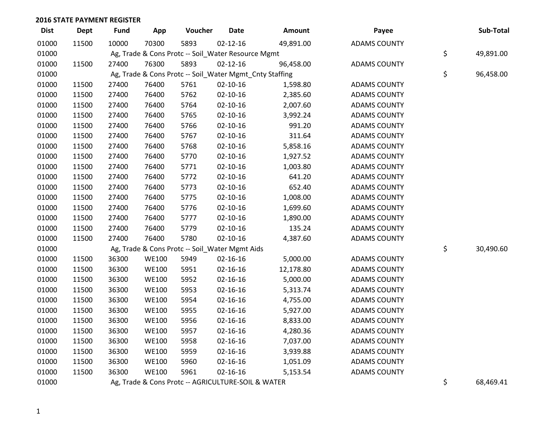| <b>Dist</b> | <b>Dept</b> | <b>Fund</b> | App          | Voucher                                            | <b>Date</b>    | Amount                                                  | Payee               | Sub-Total       |
|-------------|-------------|-------------|--------------|----------------------------------------------------|----------------|---------------------------------------------------------|---------------------|-----------------|
| 01000       | 11500       | 10000       | 70300        | 5893                                               | $02 - 12 - 16$ | 49,891.00                                               | <b>ADAMS COUNTY</b> |                 |
| 01000       |             |             |              | Ag, Trade & Cons Protc -- Soil_Water Resource Mgmt |                |                                                         |                     | \$<br>49,891.00 |
| 01000       | 11500       | 27400       | 76300        | 5893                                               | $02 - 12 - 16$ | 96,458.00                                               | <b>ADAMS COUNTY</b> |                 |
| 01000       |             |             |              |                                                    |                | Ag, Trade & Cons Protc -- Soil_Water Mgmt_Cnty Staffing |                     | \$<br>96,458.00 |
| 01000       | 11500       | 27400       | 76400        | 5761                                               | $02 - 10 - 16$ | 1,598.80                                                | <b>ADAMS COUNTY</b> |                 |
| 01000       | 11500       | 27400       | 76400        | 5762                                               | $02 - 10 - 16$ | 2,385.60                                                | <b>ADAMS COUNTY</b> |                 |
| 01000       | 11500       | 27400       | 76400        | 5764                                               | $02 - 10 - 16$ | 2,007.60                                                | <b>ADAMS COUNTY</b> |                 |
| 01000       | 11500       | 27400       | 76400        | 5765                                               | $02 - 10 - 16$ | 3,992.24                                                | <b>ADAMS COUNTY</b> |                 |
| 01000       | 11500       | 27400       | 76400        | 5766                                               | $02 - 10 - 16$ | 991.20                                                  | <b>ADAMS COUNTY</b> |                 |
| 01000       | 11500       | 27400       | 76400        | 5767                                               | $02 - 10 - 16$ | 311.64                                                  | <b>ADAMS COUNTY</b> |                 |
| 01000       | 11500       | 27400       | 76400        | 5768                                               | $02 - 10 - 16$ | 5,858.16                                                | <b>ADAMS COUNTY</b> |                 |
| 01000       | 11500       | 27400       | 76400        | 5770                                               | $02 - 10 - 16$ | 1,927.52                                                | <b>ADAMS COUNTY</b> |                 |
| 01000       | 11500       | 27400       | 76400        | 5771                                               | $02 - 10 - 16$ | 1,003.80                                                | <b>ADAMS COUNTY</b> |                 |
| 01000       | 11500       | 27400       | 76400        | 5772                                               | $02 - 10 - 16$ | 641.20                                                  | <b>ADAMS COUNTY</b> |                 |
| 01000       | 11500       | 27400       | 76400        | 5773                                               | $02 - 10 - 16$ | 652.40                                                  | <b>ADAMS COUNTY</b> |                 |
| 01000       | 11500       | 27400       | 76400        | 5775                                               | $02 - 10 - 16$ | 1,008.00                                                | <b>ADAMS COUNTY</b> |                 |
| 01000       | 11500       | 27400       | 76400        | 5776                                               | $02 - 10 - 16$ | 1,699.60                                                | <b>ADAMS COUNTY</b> |                 |
| 01000       | 11500       | 27400       | 76400        | 5777                                               | $02 - 10 - 16$ | 1,890.00                                                | <b>ADAMS COUNTY</b> |                 |
| 01000       | 11500       | 27400       | 76400        | 5779                                               | $02 - 10 - 16$ | 135.24                                                  | <b>ADAMS COUNTY</b> |                 |
| 01000       | 11500       | 27400       | 76400        | 5780                                               | $02 - 10 - 16$ | 4,387.60                                                | <b>ADAMS COUNTY</b> |                 |
| 01000       |             |             |              | Ag, Trade & Cons Protc -- Soil_Water Mgmt Aids     |                |                                                         |                     | \$<br>30,490.60 |
| 01000       | 11500       | 36300       | <b>WE100</b> | 5949                                               | $02 - 16 - 16$ | 5,000.00                                                | <b>ADAMS COUNTY</b> |                 |
| 01000       | 11500       | 36300       | <b>WE100</b> | 5951                                               | $02 - 16 - 16$ | 12,178.80                                               | <b>ADAMS COUNTY</b> |                 |
| 01000       | 11500       | 36300       | <b>WE100</b> | 5952                                               | $02 - 16 - 16$ | 5,000.00                                                | <b>ADAMS COUNTY</b> |                 |
| 01000       | 11500       | 36300       | <b>WE100</b> | 5953                                               | $02 - 16 - 16$ | 5,313.74                                                | <b>ADAMS COUNTY</b> |                 |
| 01000       | 11500       | 36300       | <b>WE100</b> | 5954                                               | 02-16-16       | 4,755.00                                                | <b>ADAMS COUNTY</b> |                 |
| 01000       | 11500       | 36300       | <b>WE100</b> | 5955                                               | 02-16-16       | 5,927.00                                                | <b>ADAMS COUNTY</b> |                 |
| 01000       | 11500       | 36300       | <b>WE100</b> | 5956                                               | $02 - 16 - 16$ | 8,833.00                                                | <b>ADAMS COUNTY</b> |                 |
| 01000       | 11500       | 36300       | <b>WE100</b> | 5957                                               | $02 - 16 - 16$ | 4,280.36                                                | <b>ADAMS COUNTY</b> |                 |
| 01000       | 11500       | 36300       | <b>WE100</b> | 5958                                               | $02 - 16 - 16$ | 7,037.00                                                | <b>ADAMS COUNTY</b> |                 |
| 01000       | 11500       | 36300       | <b>WE100</b> | 5959                                               | $02 - 16 - 16$ | 3,939.88                                                | <b>ADAMS COUNTY</b> |                 |
| 01000       | 11500       | 36300       | <b>WE100</b> | 5960                                               | $02 - 16 - 16$ | 1,051.09                                                | <b>ADAMS COUNTY</b> |                 |
| 01000       | 11500       | 36300       | <b>WE100</b> | 5961                                               | $02 - 16 - 16$ | 5,153.54                                                | <b>ADAMS COUNTY</b> |                 |
| 01000       |             |             |              | Ag, Trade & Cons Protc -- AGRICULTURE-SOIL & WATER |                |                                                         |                     | \$<br>68,469.41 |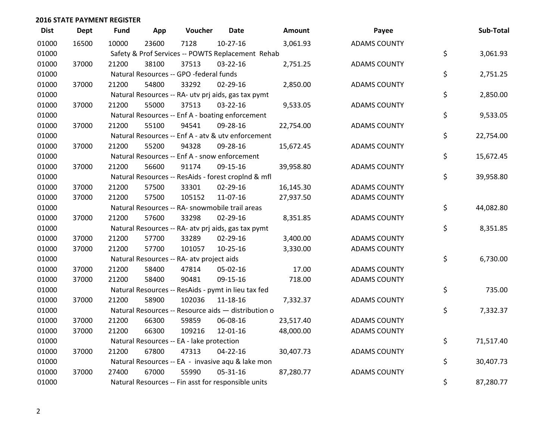| <b>Dist</b> | <b>Dept</b> | <b>Fund</b> | App   | Voucher                                             | Date           | Amount    | Payee               | Sub-Total       |
|-------------|-------------|-------------|-------|-----------------------------------------------------|----------------|-----------|---------------------|-----------------|
| 01000       | 16500       | 10000       | 23600 | 7128                                                | $10-27-16$     | 3,061.93  | <b>ADAMS COUNTY</b> |                 |
| 01000       |             |             |       | Safety & Prof Services -- POWTS Replacement Rehab   |                |           |                     | \$<br>3,061.93  |
| 01000       | 37000       | 21200       | 38100 | 37513                                               | 03-22-16       | 2,751.25  | <b>ADAMS COUNTY</b> |                 |
| 01000       |             |             |       | Natural Resources -- GPO -federal funds             |                |           |                     | \$<br>2,751.25  |
| 01000       | 37000       | 21200       | 54800 | 33292                                               | 02-29-16       | 2,850.00  | <b>ADAMS COUNTY</b> |                 |
| 01000       |             |             |       | Natural Resources -- RA- utv prj aids, gas tax pymt |                |           |                     | \$<br>2,850.00  |
| 01000       | 37000       | 21200       | 55000 | 37513                                               | 03-22-16       | 9,533.05  | <b>ADAMS COUNTY</b> |                 |
| 01000       |             |             |       | Natural Resources -- Enf A - boating enforcement    |                |           |                     | \$<br>9,533.05  |
| 01000       | 37000       | 21200       | 55100 | 94541                                               | 09-28-16       | 22,754.00 | <b>ADAMS COUNTY</b> |                 |
| 01000       |             |             |       | Natural Resources -- Enf A - atv & utv enforcement  |                |           |                     | \$<br>22,754.00 |
| 01000       | 37000       | 21200       | 55200 | 94328                                               | 09-28-16       | 15,672.45 | <b>ADAMS COUNTY</b> |                 |
| 01000       |             |             |       | Natural Resources -- Enf A - snow enforcement       |                |           |                     | \$<br>15,672.45 |
| 01000       | 37000       | 21200       | 56600 | 91174                                               | 09-15-16       | 39,958.80 | <b>ADAMS COUNTY</b> |                 |
| 01000       |             |             |       | Natural Resources -- ResAids - forest croplnd & mfl |                |           |                     | \$<br>39,958.80 |
| 01000       | 37000       | 21200       | 57500 | 33301                                               | $02 - 29 - 16$ | 16,145.30 | <b>ADAMS COUNTY</b> |                 |
| 01000       | 37000       | 21200       | 57500 | 105152                                              | 11-07-16       | 27,937.50 | <b>ADAMS COUNTY</b> |                 |
| 01000       |             |             |       | Natural Resources -- RA- snowmobile trail areas     |                |           |                     | \$<br>44,082.80 |
| 01000       | 37000       | 21200       | 57600 | 33298                                               | 02-29-16       | 8,351.85  | <b>ADAMS COUNTY</b> |                 |
| 01000       |             |             |       | Natural Resources -- RA- atv prj aids, gas tax pymt |                |           |                     | \$<br>8,351.85  |
| 01000       | 37000       | 21200       | 57700 | 33289                                               | 02-29-16       | 3,400.00  | <b>ADAMS COUNTY</b> |                 |
| 01000       | 37000       | 21200       | 57700 | 101057                                              | $10-25-16$     | 3,330.00  | <b>ADAMS COUNTY</b> |                 |
| 01000       |             |             |       | Natural Resources -- RA- atv project aids           |                |           |                     | \$<br>6,730.00  |
| 01000       | 37000       | 21200       | 58400 | 47814                                               | 05-02-16       | 17.00     | <b>ADAMS COUNTY</b> |                 |
| 01000       | 37000       | 21200       | 58400 | 90481                                               | 09-15-16       | 718.00    | <b>ADAMS COUNTY</b> |                 |
| 01000       |             |             |       | Natural Resources -- ResAids - pymt in lieu tax fed |                |           |                     | \$<br>735.00    |
| 01000       | 37000       | 21200       | 58900 | 102036                                              | $11 - 18 - 16$ | 7,332.37  | <b>ADAMS COUNTY</b> |                 |
| 01000       |             |             |       | Natural Resources -- Resource aids - distribution o |                |           |                     | \$<br>7,332.37  |
| 01000       | 37000       | 21200       | 66300 | 59859                                               | 06-08-16       | 23,517.40 | <b>ADAMS COUNTY</b> |                 |
| 01000       | 37000       | 21200       | 66300 | 109216                                              | 12-01-16       | 48,000.00 | <b>ADAMS COUNTY</b> |                 |
| 01000       |             |             |       | Natural Resources -- EA - lake protection           |                |           |                     | \$<br>71,517.40 |
| 01000       | 37000       | 21200       | 67800 | 47313                                               | 04-22-16       | 30,407.73 | <b>ADAMS COUNTY</b> |                 |
| 01000       |             |             |       | Natural Resources -- EA - invasive aqu & lake mon   |                |           |                     | \$<br>30,407.73 |
| 01000       | 37000       | 27400       | 67000 | 55990                                               | 05-31-16       | 87,280.77 | <b>ADAMS COUNTY</b> |                 |
| 01000       |             |             |       | Natural Resources -- Fin asst for responsible units |                |           |                     | \$<br>87,280.77 |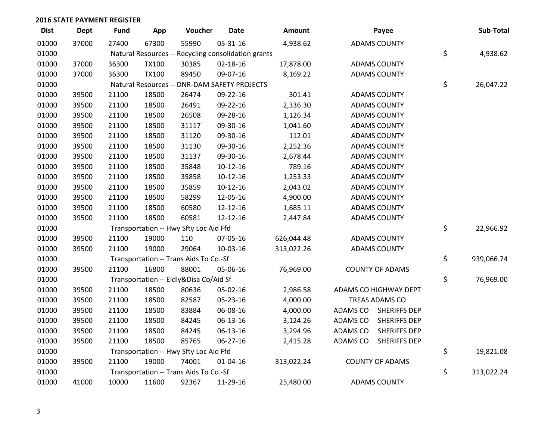| <b>Dist</b> | <b>Dept</b> | <b>Fund</b> | App          | Voucher                                             | <b>Date</b>    | Amount     |          | Payee                  | Sub-Total        |
|-------------|-------------|-------------|--------------|-----------------------------------------------------|----------------|------------|----------|------------------------|------------------|
| 01000       | 37000       | 27400       | 67300        | 55990                                               | 05-31-16       | 4,938.62   |          | <b>ADAMS COUNTY</b>    |                  |
| 01000       |             |             |              | Natural Resources -- Recycling consolidation grants |                |            |          |                        | \$<br>4,938.62   |
| 01000       | 37000       | 36300       | <b>TX100</b> | 30385                                               | 02-18-16       | 17,878.00  |          | <b>ADAMS COUNTY</b>    |                  |
| 01000       | 37000       | 36300       | <b>TX100</b> | 89450                                               | 09-07-16       | 8,169.22   |          | <b>ADAMS COUNTY</b>    |                  |
| 01000       |             |             |              | Natural Resources -- DNR-DAM SAFETY PROJECTS        |                |            |          |                        | \$<br>26,047.22  |
| 01000       | 39500       | 21100       | 18500        | 26474                                               | 09-22-16       | 301.41     |          | <b>ADAMS COUNTY</b>    |                  |
| 01000       | 39500       | 21100       | 18500        | 26491                                               | 09-22-16       | 2,336.30   |          | <b>ADAMS COUNTY</b>    |                  |
| 01000       | 39500       | 21100       | 18500        | 26508                                               | 09-28-16       | 1,126.34   |          | <b>ADAMS COUNTY</b>    |                  |
| 01000       | 39500       | 21100       | 18500        | 31117                                               | 09-30-16       | 1,041.60   |          | <b>ADAMS COUNTY</b>    |                  |
| 01000       | 39500       | 21100       | 18500        | 31120                                               | 09-30-16       | 112.01     |          | <b>ADAMS COUNTY</b>    |                  |
| 01000       | 39500       | 21100       | 18500        | 31130                                               | 09-30-16       | 2,252.36   |          | <b>ADAMS COUNTY</b>    |                  |
| 01000       | 39500       | 21100       | 18500        | 31137                                               | 09-30-16       | 2,678.44   |          | <b>ADAMS COUNTY</b>    |                  |
| 01000       | 39500       | 21100       | 18500        | 35848                                               | $10-12-16$     | 789.16     |          | <b>ADAMS COUNTY</b>    |                  |
| 01000       | 39500       | 21100       | 18500        | 35858                                               | $10-12-16$     | 1,253.33   |          | <b>ADAMS COUNTY</b>    |                  |
| 01000       | 39500       | 21100       | 18500        | 35859                                               | $10-12-16$     | 2,043.02   |          | <b>ADAMS COUNTY</b>    |                  |
| 01000       | 39500       | 21100       | 18500        | 58299                                               | 12-05-16       | 4,900.00   |          | <b>ADAMS COUNTY</b>    |                  |
| 01000       | 39500       | 21100       | 18500        | 60580                                               | 12-12-16       | 1,685.11   |          | <b>ADAMS COUNTY</b>    |                  |
| 01000       | 39500       | 21100       | 18500        | 60581                                               | 12-12-16       | 2,447.84   |          | <b>ADAMS COUNTY</b>    |                  |
| 01000       |             |             |              | Transportation -- Hwy Sfty Loc Aid Ffd              |                |            |          |                        | \$<br>22,966.92  |
| 01000       | 39500       | 21100       | 19000        | 110                                                 | 07-05-16       | 626,044.48 |          | <b>ADAMS COUNTY</b>    |                  |
| 01000       | 39500       | 21100       | 19000        | 29064                                               | 10-03-16       | 313,022.26 |          | <b>ADAMS COUNTY</b>    |                  |
| 01000       |             |             |              | Transportation -- Trans Aids To Co.-Sf              |                |            |          |                        | \$<br>939,066.74 |
| 01000       | 39500       | 21100       | 16800        | 88001                                               | 05-06-16       | 76,969.00  |          | <b>COUNTY OF ADAMS</b> |                  |
| 01000       |             |             |              | Transportation -- Eldly&Disa Co/Aid Sf              |                |            |          |                        | \$<br>76,969.00  |
| 01000       | 39500       | 21100       | 18500        | 80636                                               | 05-02-16       | 2,986.58   |          | ADAMS CO HIGHWAY DEPT  |                  |
| 01000       | 39500       | 21100       | 18500        | 82587                                               | 05-23-16       | 4,000.00   |          | TREAS ADAMS CO         |                  |
| 01000       | 39500       | 21100       | 18500        | 83884                                               | 06-08-16       | 4,000.00   | ADAMS CO | <b>SHERIFFS DEP</b>    |                  |
| 01000       | 39500       | 21100       | 18500        | 84245                                               | 06-13-16       | 3,124.26   | ADAMS CO | <b>SHERIFFS DEP</b>    |                  |
| 01000       | 39500       | 21100       | 18500        | 84245                                               | 06-13-16       | 3,294.96   | ADAMS CO | <b>SHERIFFS DEP</b>    |                  |
| 01000       | 39500       | 21100       | 18500        | 85765                                               | 06-27-16       | 2,415.28   | ADAMS CO | <b>SHERIFFS DEP</b>    |                  |
| 01000       |             |             |              | Transportation -- Hwy Sfty Loc Aid Ffd              |                |            |          |                        | \$<br>19,821.08  |
| 01000       | 39500       | 21100       | 19000        | 74001                                               | $01 - 04 - 16$ | 313,022.24 |          | <b>COUNTY OF ADAMS</b> |                  |
| 01000       |             |             |              | Transportation -- Trans Aids To Co.-Sf              |                |            |          |                        | \$<br>313,022.24 |
| 01000       | 41000       | 10000       | 11600        | 92367                                               | 11-29-16       | 25,480.00  |          | <b>ADAMS COUNTY</b>    |                  |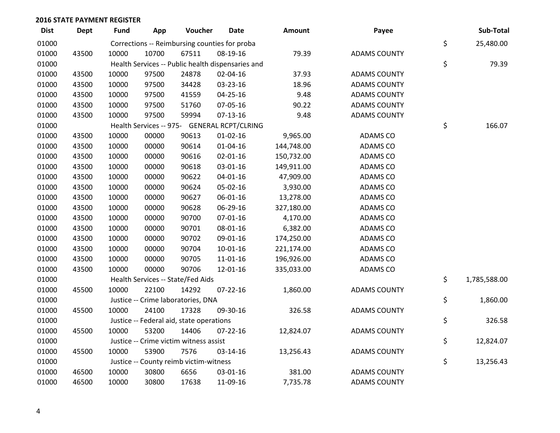| <b>Dist</b> | <b>Dept</b> | Fund  | App   | Voucher                                  | <b>Date</b>                                       | Amount     | Payee               | Sub-Total          |
|-------------|-------------|-------|-------|------------------------------------------|---------------------------------------------------|------------|---------------------|--------------------|
| 01000       |             |       |       |                                          | Corrections -- Reimbursing counties for proba     |            |                     | \$<br>25,480.00    |
| 01000       | 43500       | 10000 | 10700 | 67511                                    | 08-19-16                                          | 79.39      | <b>ADAMS COUNTY</b> |                    |
| 01000       |             |       |       |                                          | Health Services -- Public health dispensaries and |            |                     | \$<br>79.39        |
| 01000       | 43500       | 10000 | 97500 | 24878                                    | 02-04-16                                          | 37.93      | <b>ADAMS COUNTY</b> |                    |
| 01000       | 43500       | 10000 | 97500 | 34428                                    | 03-23-16                                          | 18.96      | <b>ADAMS COUNTY</b> |                    |
| 01000       | 43500       | 10000 | 97500 | 41559                                    | $04 - 25 - 16$                                    | 9.48       | <b>ADAMS COUNTY</b> |                    |
| 01000       | 43500       | 10000 | 97500 | 51760                                    | 07-05-16                                          | 90.22      | <b>ADAMS COUNTY</b> |                    |
| 01000       | 43500       | 10000 | 97500 | 59994                                    | $07-13-16$                                        | 9.48       | <b>ADAMS COUNTY</b> |                    |
| 01000       |             |       |       |                                          | Health Services -- 975- GENERAL RCPT/CLRING       |            |                     | \$<br>166.07       |
| 01000       | 43500       | 10000 | 00000 | 90613                                    | $01-02-16$                                        | 9,965.00   | ADAMS CO            |                    |
| 01000       | 43500       | 10000 | 00000 | 90614                                    | $01 - 04 - 16$                                    | 144,748.00 | ADAMS CO            |                    |
| 01000       | 43500       | 10000 | 00000 | 90616                                    | $02 - 01 - 16$                                    | 150,732.00 | ADAMS CO            |                    |
| 01000       | 43500       | 10000 | 00000 | 90618                                    | 03-01-16                                          | 149,911.00 | ADAMS CO            |                    |
| 01000       | 43500       | 10000 | 00000 | 90622                                    | $04 - 01 - 16$                                    | 47,909.00  | ADAMS CO            |                    |
| 01000       | 43500       | 10000 | 00000 | 90624                                    | 05-02-16                                          | 3,930.00   | <b>ADAMS CO</b>     |                    |
| 01000       | 43500       | 10000 | 00000 | 90627                                    | 06-01-16                                          | 13,278.00  | ADAMS CO            |                    |
| 01000       | 43500       | 10000 | 00000 | 90628                                    | 06-29-16                                          | 327,180.00 | ADAMS CO            |                    |
| 01000       | 43500       | 10000 | 00000 | 90700                                    | 07-01-16                                          | 4,170.00   | ADAMS CO            |                    |
| 01000       | 43500       | 10000 | 00000 | 90701                                    | 08-01-16                                          | 6,382.00   | <b>ADAMS CO</b>     |                    |
| 01000       | 43500       | 10000 | 00000 | 90702                                    | 09-01-16                                          | 174,250.00 | ADAMS CO            |                    |
| 01000       | 43500       | 10000 | 00000 | 90704                                    | $10-01-16$                                        | 221,174.00 | <b>ADAMS CO</b>     |                    |
| 01000       | 43500       | 10000 | 00000 | 90705                                    | 11-01-16                                          | 196,926.00 | ADAMS CO            |                    |
| 01000       | 43500       | 10000 | 00000 | 90706                                    | 12-01-16                                          | 335,033.00 | ADAMS CO            |                    |
| 01000       |             |       |       | Health Services -- State/Fed Aids        |                                                   |            |                     | \$<br>1,785,588.00 |
| 01000       | 45500       | 10000 | 22100 | 14292                                    | $07 - 22 - 16$                                    | 1,860.00   | <b>ADAMS COUNTY</b> |                    |
| 01000       |             |       |       | Justice -- Crime laboratories, DNA       |                                                   |            |                     | \$<br>1,860.00     |
| 01000       | 45500       | 10000 | 24100 | 17328                                    | 09-30-16                                          | 326.58     | <b>ADAMS COUNTY</b> |                    |
| 01000       |             |       |       | Justice -- Federal aid, state operations |                                                   |            |                     | \$<br>326.58       |
| 01000       | 45500       | 10000 | 53200 | 14406                                    | $07 - 22 - 16$                                    | 12,824.07  | <b>ADAMS COUNTY</b> |                    |
| 01000       |             |       |       | Justice -- Crime victim witness assist   |                                                   |            |                     | \$<br>12,824.07    |
| 01000       | 45500       | 10000 | 53900 | 7576                                     | 03-14-16                                          | 13,256.43  | <b>ADAMS COUNTY</b> |                    |
| 01000       |             |       |       | Justice -- County reimb victim-witness   |                                                   |            |                     | \$<br>13,256.43    |
| 01000       | 46500       | 10000 | 30800 | 6656                                     | 03-01-16                                          | 381.00     | <b>ADAMS COUNTY</b> |                    |
| 01000       | 46500       | 10000 | 30800 | 17638                                    | 11-09-16                                          | 7,735.78   | <b>ADAMS COUNTY</b> |                    |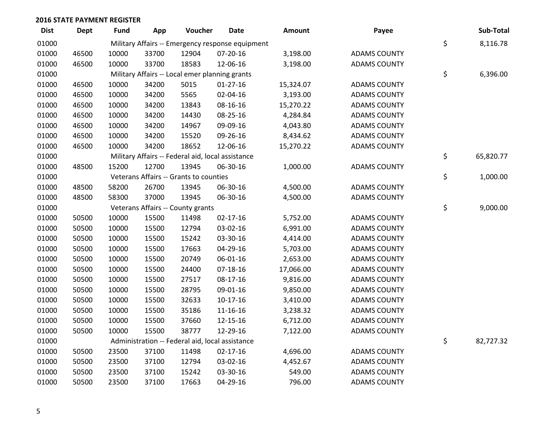| <b>Dist</b> | <b>Dept</b> | <b>Fund</b> | App   | Voucher                                           | <b>Date</b>                                      | Amount    | Payee               | Sub-Total       |
|-------------|-------------|-------------|-------|---------------------------------------------------|--------------------------------------------------|-----------|---------------------|-----------------|
| 01000       |             |             |       |                                                   | Military Affairs -- Emergency response equipment |           |                     | \$<br>8,116.78  |
| 01000       | 46500       | 10000       | 33700 | 12904                                             | 07-20-16                                         | 3,198.00  | <b>ADAMS COUNTY</b> |                 |
| 01000       | 46500       | 10000       | 33700 | 18583                                             | 12-06-16                                         | 3,198.00  | <b>ADAMS COUNTY</b> |                 |
| 01000       |             |             |       | Military Affairs -- Local emer planning grants    |                                                  |           |                     | \$<br>6,396.00  |
| 01000       | 46500       | 10000       | 34200 | 5015                                              | $01-27-16$                                       | 15,324.07 | <b>ADAMS COUNTY</b> |                 |
| 01000       | 46500       | 10000       | 34200 | 5565                                              | 02-04-16                                         | 3,193.00  | <b>ADAMS COUNTY</b> |                 |
| 01000       | 46500       | 10000       | 34200 | 13843                                             | 08-16-16                                         | 15,270.22 | <b>ADAMS COUNTY</b> |                 |
| 01000       | 46500       | 10000       | 34200 | 14430                                             | 08-25-16                                         | 4,284.84  | <b>ADAMS COUNTY</b> |                 |
| 01000       | 46500       | 10000       | 34200 | 14967                                             | 09-09-16                                         | 4,043.80  | <b>ADAMS COUNTY</b> |                 |
| 01000       | 46500       | 10000       | 34200 | 15520                                             | 09-26-16                                         | 8,434.62  | <b>ADAMS COUNTY</b> |                 |
| 01000       | 46500       | 10000       | 34200 | 18652                                             | 12-06-16                                         | 15,270.22 | <b>ADAMS COUNTY</b> |                 |
| 01000       |             |             |       | Military Affairs -- Federal aid, local assistance |                                                  |           |                     | \$<br>65,820.77 |
| 01000       | 48500       | 15200       | 12700 | 13945                                             | 06-30-16                                         | 1,000.00  | <b>ADAMS COUNTY</b> |                 |
| 01000       |             |             |       | Veterans Affairs -- Grants to counties            |                                                  |           |                     | \$<br>1,000.00  |
| 01000       | 48500       | 58200       | 26700 | 13945                                             | 06-30-16                                         | 4,500.00  | <b>ADAMS COUNTY</b> |                 |
| 01000       | 48500       | 58300       | 37000 | 13945                                             | 06-30-16                                         | 4,500.00  | <b>ADAMS COUNTY</b> |                 |
| 01000       |             |             |       | Veterans Affairs -- County grants                 |                                                  |           |                     | \$<br>9,000.00  |
| 01000       | 50500       | 10000       | 15500 | 11498                                             | $02 - 17 - 16$                                   | 5,752.00  | <b>ADAMS COUNTY</b> |                 |
| 01000       | 50500       | 10000       | 15500 | 12794                                             | 03-02-16                                         | 6,991.00  | <b>ADAMS COUNTY</b> |                 |
| 01000       | 50500       | 10000       | 15500 | 15242                                             | 03-30-16                                         | 4,414.00  | <b>ADAMS COUNTY</b> |                 |
| 01000       | 50500       | 10000       | 15500 | 17663                                             | 04-29-16                                         | 5,703.00  | <b>ADAMS COUNTY</b> |                 |
| 01000       | 50500       | 10000       | 15500 | 20749                                             | 06-01-16                                         | 2,653.00  | <b>ADAMS COUNTY</b> |                 |
| 01000       | 50500       | 10000       | 15500 | 24400                                             | $07-18-16$                                       | 17,066.00 | <b>ADAMS COUNTY</b> |                 |
| 01000       | 50500       | 10000       | 15500 | 27517                                             | 08-17-16                                         | 9,816.00  | <b>ADAMS COUNTY</b> |                 |
| 01000       | 50500       | 10000       | 15500 | 28795                                             | 09-01-16                                         | 9,850.00  | <b>ADAMS COUNTY</b> |                 |
| 01000       | 50500       | 10000       | 15500 | 32633                                             | $10-17-16$                                       | 3,410.00  | <b>ADAMS COUNTY</b> |                 |
| 01000       | 50500       | 10000       | 15500 | 35186                                             | 11-16-16                                         | 3,238.32  | <b>ADAMS COUNTY</b> |                 |
| 01000       | 50500       | 10000       | 15500 | 37660                                             | 12-15-16                                         | 6,712.00  | <b>ADAMS COUNTY</b> |                 |
| 01000       | 50500       | 10000       | 15500 | 38777                                             | 12-29-16                                         | 7,122.00  | <b>ADAMS COUNTY</b> |                 |
| 01000       |             |             |       |                                                   | Administration -- Federal aid, local assistance  |           |                     | \$<br>82,727.32 |
| 01000       | 50500       | 23500       | 37100 | 11498                                             | $02 - 17 - 16$                                   | 4,696.00  | <b>ADAMS COUNTY</b> |                 |
| 01000       | 50500       | 23500       | 37100 | 12794                                             | 03-02-16                                         | 4,452.67  | <b>ADAMS COUNTY</b> |                 |
| 01000       | 50500       | 23500       | 37100 | 15242                                             | 03-30-16                                         | 549.00    | <b>ADAMS COUNTY</b> |                 |
| 01000       | 50500       | 23500       | 37100 | 17663                                             | 04-29-16                                         | 796.00    | <b>ADAMS COUNTY</b> |                 |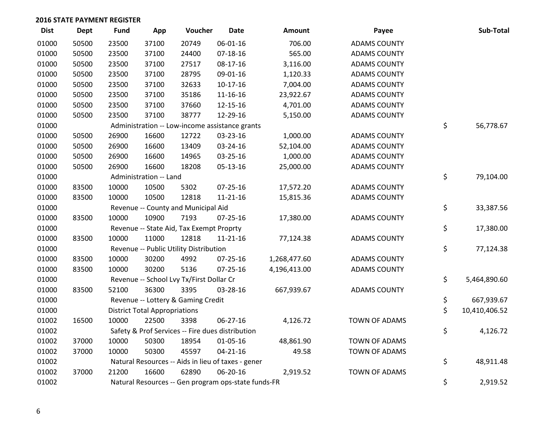| <b>Dist</b> | Dept  | <b>Fund</b> | App                                  | Voucher                                  | <b>Date</b>                                         | Amount       | Payee                | Sub-Total           |
|-------------|-------|-------------|--------------------------------------|------------------------------------------|-----------------------------------------------------|--------------|----------------------|---------------------|
| 01000       | 50500 | 23500       | 37100                                | 20749                                    | 06-01-16                                            | 706.00       | <b>ADAMS COUNTY</b>  |                     |
| 01000       | 50500 | 23500       | 37100                                | 24400                                    | $07-18-16$                                          | 565.00       | <b>ADAMS COUNTY</b>  |                     |
| 01000       | 50500 | 23500       | 37100                                | 27517                                    | 08-17-16                                            | 3,116.00     | <b>ADAMS COUNTY</b>  |                     |
| 01000       | 50500 | 23500       | 37100                                | 28795                                    | 09-01-16                                            | 1,120.33     | <b>ADAMS COUNTY</b>  |                     |
| 01000       | 50500 | 23500       | 37100                                | 32633                                    | $10-17-16$                                          | 7,004.00     | <b>ADAMS COUNTY</b>  |                     |
| 01000       | 50500 | 23500       | 37100                                | 35186                                    | 11-16-16                                            | 23,922.67    | <b>ADAMS COUNTY</b>  |                     |
| 01000       | 50500 | 23500       | 37100                                | 37660                                    | 12-15-16                                            | 4,701.00     | <b>ADAMS COUNTY</b>  |                     |
| 01000       | 50500 | 23500       | 37100                                | 38777                                    | 12-29-16                                            | 5,150.00     | <b>ADAMS COUNTY</b>  |                     |
| 01000       |       |             |                                      |                                          | Administration -- Low-income assistance grants      |              |                      | \$<br>56,778.67     |
| 01000       | 50500 | 26900       | 16600                                | 12722                                    | 03-23-16                                            | 1,000.00     | <b>ADAMS COUNTY</b>  |                     |
| 01000       | 50500 | 26900       | 16600                                | 13409                                    | 03-24-16                                            | 52,104.00    | <b>ADAMS COUNTY</b>  |                     |
| 01000       | 50500 | 26900       | 16600                                | 14965                                    | 03-25-16                                            | 1,000.00     | <b>ADAMS COUNTY</b>  |                     |
| 01000       | 50500 | 26900       | 16600                                | 18208                                    | 05-13-16                                            | 25,000.00    | <b>ADAMS COUNTY</b>  |                     |
| 01000       |       |             | Administration -- Land               |                                          |                                                     |              |                      | \$<br>79,104.00     |
| 01000       | 83500 | 10000       | 10500                                | 5302                                     | $07 - 25 - 16$                                      | 17,572.20    | <b>ADAMS COUNTY</b>  |                     |
| 01000       | 83500 | 10000       | 10500                                | 12818                                    | $11 - 21 - 16$                                      | 15,815.36    | <b>ADAMS COUNTY</b>  |                     |
| 01000       |       |             |                                      | Revenue -- County and Municipal Aid      |                                                     |              |                      | \$<br>33,387.56     |
| 01000       | 83500 | 10000       | 10900                                | 7193                                     | $07 - 25 - 16$                                      | 17,380.00    | <b>ADAMS COUNTY</b>  |                     |
| 01000       |       |             |                                      | Revenue -- State Aid, Tax Exempt Proprty |                                                     |              |                      | \$<br>17,380.00     |
| 01000       | 83500 | 10000       | 11000                                | 12818                                    | $11 - 21 - 16$                                      | 77,124.38    | <b>ADAMS COUNTY</b>  |                     |
| 01000       |       |             |                                      | Revenue -- Public Utility Distribution   |                                                     |              |                      | \$<br>77,124.38     |
| 01000       | 83500 | 10000       | 30200                                | 4992                                     | 07-25-16                                            | 1,268,477.60 | <b>ADAMS COUNTY</b>  |                     |
| 01000       | 83500 | 10000       | 30200                                | 5136                                     | $07 - 25 - 16$                                      | 4,196,413.00 | <b>ADAMS COUNTY</b>  |                     |
| 01000       |       |             |                                      | Revenue -- School Lvy Tx/First Dollar Cr |                                                     |              |                      | \$<br>5,464,890.60  |
| 01000       | 83500 | 52100       | 36300                                | 3395                                     | 03-28-16                                            | 667,939.67   | <b>ADAMS COUNTY</b>  |                     |
| 01000       |       |             |                                      | Revenue -- Lottery & Gaming Credit       |                                                     |              |                      | \$<br>667,939.67    |
| 01000       |       |             | <b>District Total Appropriations</b> |                                          |                                                     |              |                      | \$<br>10,410,406.52 |
| 01002       | 16500 | 10000       | 22500                                | 3398                                     | 06-27-16                                            | 4,126.72     | <b>TOWN OF ADAMS</b> |                     |
| 01002       |       |             |                                      |                                          | Safety & Prof Services -- Fire dues distribution    |              |                      | \$<br>4,126.72      |
| 01002       | 37000 | 10000       | 50300                                | 18954                                    | 01-05-16                                            | 48,861.90    | TOWN OF ADAMS        |                     |
| 01002       | 37000 | 10000       | 50300                                | 45597                                    | $04 - 21 - 16$                                      | 49.58        | <b>TOWN OF ADAMS</b> |                     |
| 01002       |       |             |                                      |                                          | Natural Resources -- Aids in lieu of taxes - gener  |              |                      | \$<br>48,911.48     |
| 01002       | 37000 | 21200       | 16600                                | 62890                                    | 06-20-16                                            | 2,919.52     | <b>TOWN OF ADAMS</b> |                     |
| 01002       |       |             |                                      |                                          | Natural Resources -- Gen program ops-state funds-FR |              |                      | \$<br>2,919.52      |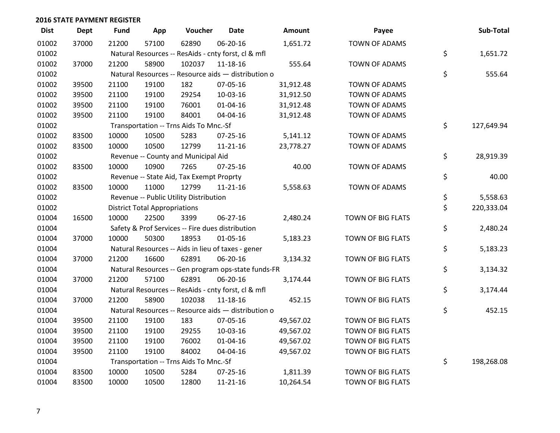| <b>Dist</b> | Dept  | <b>Fund</b> | App                                  | Voucher                                             | <b>Date</b>    | Amount    | Payee                | Sub-Total        |
|-------------|-------|-------------|--------------------------------------|-----------------------------------------------------|----------------|-----------|----------------------|------------------|
| 01002       | 37000 | 21200       | 57100                                | 62890                                               | 06-20-16       | 1,651.72  | <b>TOWN OF ADAMS</b> |                  |
| 01002       |       |             |                                      | Natural Resources -- ResAids - cnty forst, cl & mfl |                |           |                      | \$<br>1,651.72   |
| 01002       | 37000 | 21200       | 58900                                | 102037                                              | $11 - 18 - 16$ | 555.64    | <b>TOWN OF ADAMS</b> |                  |
| 01002       |       |             |                                      | Natural Resources -- Resource aids - distribution o |                |           |                      | \$<br>555.64     |
| 01002       | 39500 | 21100       | 19100                                | 182                                                 | 07-05-16       | 31,912.48 | <b>TOWN OF ADAMS</b> |                  |
| 01002       | 39500 | 21100       | 19100                                | 29254                                               | 10-03-16       | 31,912.50 | TOWN OF ADAMS        |                  |
| 01002       | 39500 | 21100       | 19100                                | 76001                                               | $01 - 04 - 16$ | 31,912.48 | <b>TOWN OF ADAMS</b> |                  |
| 01002       | 39500 | 21100       | 19100                                | 84001                                               | 04-04-16       | 31,912.48 | <b>TOWN OF ADAMS</b> |                  |
| 01002       |       |             |                                      | Transportation -- Trns Aids To Mnc.-Sf              |                |           |                      | \$<br>127,649.94 |
| 01002       | 83500 | 10000       | 10500                                | 5283                                                | $07 - 25 - 16$ | 5,141.12  | <b>TOWN OF ADAMS</b> |                  |
| 01002       | 83500 | 10000       | 10500                                | 12799                                               | 11-21-16       | 23,778.27 | <b>TOWN OF ADAMS</b> |                  |
| 01002       |       |             |                                      | Revenue -- County and Municipal Aid                 |                |           |                      | \$<br>28,919.39  |
| 01002       | 83500 | 10000       | 10900                                | 7265                                                | 07-25-16       | 40.00     | <b>TOWN OF ADAMS</b> |                  |
| 01002       |       |             |                                      | Revenue -- State Aid, Tax Exempt Proprty            |                |           |                      | \$<br>40.00      |
| 01002       | 83500 | 10000       | 11000                                | 12799                                               | $11 - 21 - 16$ | 5,558.63  | <b>TOWN OF ADAMS</b> |                  |
| 01002       |       |             |                                      | Revenue -- Public Utility Distribution              |                |           |                      | \$<br>5,558.63   |
| 01002       |       |             | <b>District Total Appropriations</b> |                                                     |                |           |                      | \$<br>220,333.04 |
| 01004       | 16500 | 10000       | 22500                                | 3399                                                | 06-27-16       | 2,480.24  | TOWN OF BIG FLATS    |                  |
| 01004       |       |             |                                      | Safety & Prof Services -- Fire dues distribution    |                |           |                      | \$<br>2,480.24   |
| 01004       | 37000 | 10000       | 50300                                | 18953                                               | 01-05-16       | 5,183.23  | TOWN OF BIG FLATS    |                  |
| 01004       |       |             |                                      | Natural Resources -- Aids in lieu of taxes - gener  |                |           |                      | \$<br>5,183.23   |
| 01004       | 37000 | 21200       | 16600                                | 62891                                               | 06-20-16       | 3,134.32  | TOWN OF BIG FLATS    |                  |
| 01004       |       |             |                                      | Natural Resources -- Gen program ops-state funds-FR |                |           |                      | \$<br>3,134.32   |
| 01004       | 37000 | 21200       | 57100                                | 62891                                               | 06-20-16       | 3,174.44  | TOWN OF BIG FLATS    |                  |
| 01004       |       |             |                                      | Natural Resources -- ResAids - cnty forst, cl & mfl |                |           |                      | \$<br>3,174.44   |
| 01004       | 37000 | 21200       | 58900                                | 102038                                              | $11 - 18 - 16$ | 452.15    | TOWN OF BIG FLATS    |                  |
| 01004       |       |             |                                      | Natural Resources -- Resource aids - distribution o |                |           |                      | \$<br>452.15     |
| 01004       | 39500 | 21100       | 19100                                | 183                                                 | 07-05-16       | 49,567.02 | TOWN OF BIG FLATS    |                  |
| 01004       | 39500 | 21100       | 19100                                | 29255                                               | 10-03-16       | 49,567.02 | TOWN OF BIG FLATS    |                  |
| 01004       | 39500 | 21100       | 19100                                | 76002                                               | $01 - 04 - 16$ | 49,567.02 | TOWN OF BIG FLATS    |                  |
| 01004       | 39500 | 21100       | 19100                                | 84002                                               | 04-04-16       | 49,567.02 | TOWN OF BIG FLATS    |                  |
| 01004       |       |             |                                      | Transportation -- Trns Aids To Mnc.-Sf              |                |           |                      | \$<br>198,268.08 |
| 01004       | 83500 | 10000       | 10500                                | 5284                                                | 07-25-16       | 1,811.39  | TOWN OF BIG FLATS    |                  |
| 01004       | 83500 | 10000       | 10500                                | 12800                                               | 11-21-16       | 10,264.54 | TOWN OF BIG FLATS    |                  |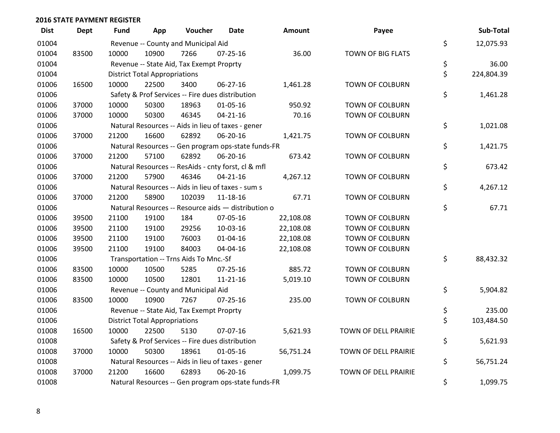| <b>Dist</b> | <b>Dept</b> | <b>Fund</b> | App                                  | Voucher                                  | Date                                                | <b>Amount</b> | Payee                  | Sub-Total        |
|-------------|-------------|-------------|--------------------------------------|------------------------------------------|-----------------------------------------------------|---------------|------------------------|------------------|
| 01004       |             |             |                                      | Revenue -- County and Municipal Aid      |                                                     |               |                        | \$<br>12,075.93  |
| 01004       | 83500       | 10000       | 10900                                | 7266                                     | $07 - 25 - 16$                                      | 36.00         | TOWN OF BIG FLATS      |                  |
| 01004       |             |             |                                      | Revenue -- State Aid, Tax Exempt Proprty |                                                     |               |                        | \$<br>36.00      |
| 01004       |             |             | <b>District Total Appropriations</b> |                                          |                                                     |               |                        | \$<br>224,804.39 |
| 01006       | 16500       | 10000       | 22500                                | 3400                                     | 06-27-16                                            | 1,461.28      | TOWN OF COLBURN        |                  |
| 01006       |             |             |                                      |                                          | Safety & Prof Services -- Fire dues distribution    |               |                        | \$<br>1,461.28   |
| 01006       | 37000       | 10000       | 50300                                | 18963                                    | $01 - 05 - 16$                                      | 950.92        | <b>TOWN OF COLBURN</b> |                  |
| 01006       | 37000       | 10000       | 50300                                | 46345                                    | $04 - 21 - 16$                                      | 70.16         | TOWN OF COLBURN        |                  |
| 01006       |             |             |                                      |                                          | Natural Resources -- Aids in lieu of taxes - gener  |               |                        | \$<br>1,021.08   |
| 01006       | 37000       | 21200       | 16600                                | 62892                                    | 06-20-16                                            | 1,421.75      | TOWN OF COLBURN        |                  |
| 01006       |             |             |                                      |                                          | Natural Resources -- Gen program ops-state funds-FR |               |                        | \$<br>1,421.75   |
| 01006       | 37000       | 21200       | 57100                                | 62892                                    | 06-20-16                                            | 673.42        | TOWN OF COLBURN        |                  |
| 01006       |             |             |                                      |                                          | Natural Resources -- ResAids - cnty forst, cl & mfl |               |                        | \$<br>673.42     |
| 01006       | 37000       | 21200       | 57900                                | 46346                                    | $04 - 21 - 16$                                      | 4,267.12      | <b>TOWN OF COLBURN</b> |                  |
| 01006       |             |             |                                      |                                          | Natural Resources -- Aids in lieu of taxes - sum s  |               |                        | \$<br>4,267.12   |
| 01006       | 37000       | 21200       | 58900                                | 102039                                   | 11-18-16                                            | 67.71         | TOWN OF COLBURN        |                  |
| 01006       |             |             |                                      |                                          | Natural Resources -- Resource aids - distribution o |               |                        | \$<br>67.71      |
| 01006       | 39500       | 21100       | 19100                                | 184                                      | 07-05-16                                            | 22,108.08     | <b>TOWN OF COLBURN</b> |                  |
| 01006       | 39500       | 21100       | 19100                                | 29256                                    | 10-03-16                                            | 22,108.08     | <b>TOWN OF COLBURN</b> |                  |
| 01006       | 39500       | 21100       | 19100                                | 76003                                    | 01-04-16                                            | 22,108.08     | TOWN OF COLBURN        |                  |
| 01006       | 39500       | 21100       | 19100                                | 84003                                    | 04-04-16                                            | 22,108.08     | <b>TOWN OF COLBURN</b> |                  |
| 01006       |             |             |                                      | Transportation -- Trns Aids To Mnc.-Sf   |                                                     |               |                        | \$<br>88,432.32  |
| 01006       | 83500       | 10000       | 10500                                | 5285                                     | $07 - 25 - 16$                                      | 885.72        | TOWN OF COLBURN        |                  |
| 01006       | 83500       | 10000       | 10500                                | 12801                                    | $11 - 21 - 16$                                      | 5,019.10      | TOWN OF COLBURN        |                  |
| 01006       |             |             |                                      | Revenue -- County and Municipal Aid      |                                                     |               |                        | \$<br>5,904.82   |
| 01006       | 83500       | 10000       | 10900                                | 7267                                     | $07 - 25 - 16$                                      | 235.00        | TOWN OF COLBURN        |                  |
| 01006       |             |             |                                      | Revenue -- State Aid, Tax Exempt Proprty |                                                     |               |                        | \$<br>235.00     |
| 01006       |             |             | <b>District Total Appropriations</b> |                                          |                                                     |               |                        | \$<br>103,484.50 |
| 01008       | 16500       | 10000       | 22500                                | 5130                                     | 07-07-16                                            | 5,621.93      | TOWN OF DELL PRAIRIE   |                  |
| 01008       |             |             |                                      |                                          | Safety & Prof Services -- Fire dues distribution    |               |                        | \$<br>5,621.93   |
| 01008       | 37000       | 10000       | 50300                                | 18961                                    | 01-05-16                                            | 56,751.24     | TOWN OF DELL PRAIRIE   |                  |
| 01008       |             |             |                                      |                                          | Natural Resources -- Aids in lieu of taxes - gener  |               |                        | \$<br>56,751.24  |
| 01008       | 37000       | 21200       | 16600                                | 62893                                    | 06-20-16                                            | 1,099.75      | TOWN OF DELL PRAIRIE   |                  |
| 01008       |             |             |                                      |                                          | Natural Resources -- Gen program ops-state funds-FR |               |                        | \$<br>1,099.75   |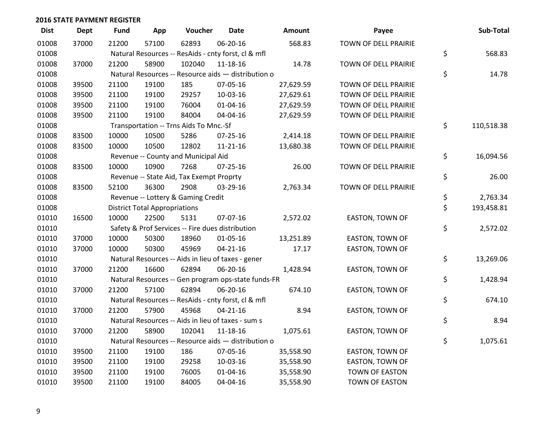| <b>Dist</b> | <b>Dept</b> | <b>Fund</b> | App                                  | Voucher                                             | <b>Date</b>    | Amount    | Payee                  | Sub-Total        |
|-------------|-------------|-------------|--------------------------------------|-----------------------------------------------------|----------------|-----------|------------------------|------------------|
| 01008       | 37000       | 21200       | 57100                                | 62893                                               | 06-20-16       | 568.83    | TOWN OF DELL PRAIRIE   |                  |
| 01008       |             |             |                                      | Natural Resources -- ResAids - cnty forst, cl & mfl |                |           |                        | \$<br>568.83     |
| 01008       | 37000       | 21200       | 58900                                | 102040                                              | 11-18-16       | 14.78     | TOWN OF DELL PRAIRIE   |                  |
| 01008       |             |             |                                      | Natural Resources -- Resource aids - distribution o |                |           |                        | \$<br>14.78      |
| 01008       | 39500       | 21100       | 19100                                | 185                                                 | 07-05-16       | 27,629.59 | TOWN OF DELL PRAIRIE   |                  |
| 01008       | 39500       | 21100       | 19100                                | 29257                                               | 10-03-16       | 27,629.61 | TOWN OF DELL PRAIRIE   |                  |
| 01008       | 39500       | 21100       | 19100                                | 76004                                               | $01 - 04 - 16$ | 27,629.59 | TOWN OF DELL PRAIRIE   |                  |
| 01008       | 39500       | 21100       | 19100                                | 84004                                               | 04-04-16       | 27,629.59 | TOWN OF DELL PRAIRIE   |                  |
| 01008       |             |             |                                      | Transportation -- Trns Aids To Mnc.-Sf              |                |           |                        | \$<br>110,518.38 |
| 01008       | 83500       | 10000       | 10500                                | 5286                                                | 07-25-16       | 2,414.18  | TOWN OF DELL PRAIRIE   |                  |
| 01008       | 83500       | 10000       | 10500                                | 12802                                               | 11-21-16       | 13,680.38 | TOWN OF DELL PRAIRIE   |                  |
| 01008       |             |             |                                      | Revenue -- County and Municipal Aid                 |                |           |                        | \$<br>16,094.56  |
| 01008       | 83500       | 10000       | 10900                                | 7268                                                | $07 - 25 - 16$ | 26.00     | TOWN OF DELL PRAIRIE   |                  |
| 01008       |             |             |                                      | Revenue -- State Aid, Tax Exempt Proprty            |                |           |                        | \$<br>26.00      |
| 01008       | 83500       | 52100       | 36300                                | 2908                                                | 03-29-16       | 2,763.34  | TOWN OF DELL PRAIRIE   |                  |
| 01008       |             |             |                                      | Revenue -- Lottery & Gaming Credit                  |                |           |                        | \$<br>2,763.34   |
| 01008       |             |             | <b>District Total Appropriations</b> |                                                     |                |           |                        | \$<br>193,458.81 |
| 01010       | 16500       | 10000       | 22500                                | 5131                                                | 07-07-16       | 2,572.02  | EASTON, TOWN OF        |                  |
| 01010       |             |             |                                      | Safety & Prof Services -- Fire dues distribution    |                |           |                        | \$<br>2,572.02   |
| 01010       | 37000       | 10000       | 50300                                | 18960                                               | 01-05-16       | 13,251.89 | EASTON, TOWN OF        |                  |
| 01010       | 37000       | 10000       | 50300                                | 45969                                               | $04 - 21 - 16$ | 17.17     | EASTON, TOWN OF        |                  |
| 01010       |             |             |                                      | Natural Resources -- Aids in lieu of taxes - gener  |                |           |                        | \$<br>13,269.06  |
| 01010       | 37000       | 21200       | 16600                                | 62894                                               | 06-20-16       | 1,428.94  | EASTON, TOWN OF        |                  |
| 01010       |             |             |                                      | Natural Resources -- Gen program ops-state funds-FR |                |           |                        | \$<br>1,428.94   |
| 01010       | 37000       | 21200       | 57100                                | 62894                                               | 06-20-16       | 674.10    | EASTON, TOWN OF        |                  |
| 01010       |             |             |                                      | Natural Resources -- ResAids - cnty forst, cl & mfl |                |           |                        | \$<br>674.10     |
| 01010       | 37000       | 21200       | 57900                                | 45968                                               | $04 - 21 - 16$ | 8.94      | <b>EASTON, TOWN OF</b> |                  |
| 01010       |             |             |                                      | Natural Resources -- Aids in lieu of taxes - sum s  |                |           |                        | \$<br>8.94       |
| 01010       | 37000       | 21200       | 58900                                | 102041                                              | $11 - 18 - 16$ | 1,075.61  | EASTON, TOWN OF        |                  |
| 01010       |             |             |                                      | Natural Resources -- Resource aids - distribution o |                |           |                        | \$<br>1,075.61   |
| 01010       | 39500       | 21100       | 19100                                | 186                                                 | 07-05-16       | 35,558.90 | <b>EASTON, TOWN OF</b> |                  |
| 01010       | 39500       | 21100       | 19100                                | 29258                                               | 10-03-16       | 35,558.90 | <b>EASTON, TOWN OF</b> |                  |
| 01010       | 39500       | 21100       | 19100                                | 76005                                               | $01 - 04 - 16$ | 35,558.90 | <b>TOWN OF EASTON</b>  |                  |
| 01010       | 39500       | 21100       | 19100                                | 84005                                               | 04-04-16       | 35,558.90 | TOWN OF EASTON         |                  |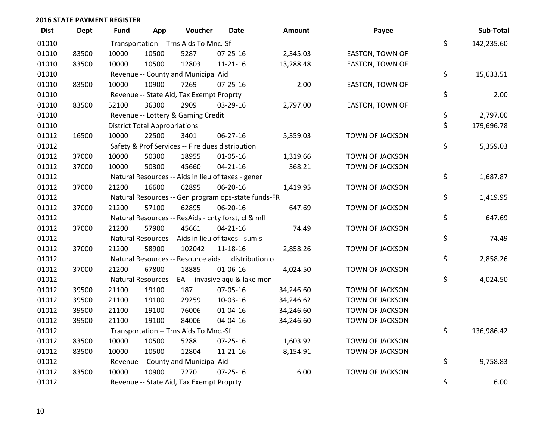| <b>Dist</b> | <b>Dept</b> | <b>Fund</b> | App                                  | Voucher                                  | Date                                                | <b>Amount</b> | Payee                  | Sub-Total        |
|-------------|-------------|-------------|--------------------------------------|------------------------------------------|-----------------------------------------------------|---------------|------------------------|------------------|
| 01010       |             |             |                                      | Transportation -- Trns Aids To Mnc.-Sf   |                                                     |               |                        | \$<br>142,235.60 |
| 01010       | 83500       | 10000       | 10500                                | 5287                                     | $07 - 25 - 16$                                      | 2,345.03      | EASTON, TOWN OF        |                  |
| 01010       | 83500       | 10000       | 10500                                | 12803                                    | $11 - 21 - 16$                                      | 13,288.48     | EASTON, TOWN OF        |                  |
| 01010       |             |             |                                      | Revenue -- County and Municipal Aid      |                                                     |               |                        | \$<br>15,633.51  |
| 01010       | 83500       | 10000       | 10900                                | 7269                                     | $07 - 25 - 16$                                      | 2.00          | <b>EASTON, TOWN OF</b> |                  |
| 01010       |             |             |                                      | Revenue -- State Aid, Tax Exempt Proprty |                                                     |               |                        | \$<br>2.00       |
| 01010       | 83500       | 52100       | 36300                                | 2909                                     | 03-29-16                                            | 2,797.00      | EASTON, TOWN OF        |                  |
| 01010       |             |             |                                      | Revenue -- Lottery & Gaming Credit       |                                                     |               |                        | \$<br>2,797.00   |
| 01010       |             |             | <b>District Total Appropriations</b> |                                          |                                                     |               |                        | \$<br>179,696.78 |
| 01012       | 16500       | 10000       | 22500                                | 3401                                     | 06-27-16                                            | 5,359.03      | TOWN OF JACKSON        |                  |
| 01012       |             |             |                                      |                                          | Safety & Prof Services -- Fire dues distribution    |               |                        | \$<br>5,359.03   |
| 01012       | 37000       | 10000       | 50300                                | 18955                                    | 01-05-16                                            | 1,319.66      | TOWN OF JACKSON        |                  |
| 01012       | 37000       | 10000       | 50300                                | 45660                                    | $04 - 21 - 16$                                      | 368.21        | TOWN OF JACKSON        |                  |
| 01012       |             |             |                                      |                                          | Natural Resources -- Aids in lieu of taxes - gener  |               |                        | \$<br>1,687.87   |
| 01012       | 37000       | 21200       | 16600                                | 62895                                    | 06-20-16                                            | 1,419.95      | TOWN OF JACKSON        |                  |
| 01012       |             |             |                                      |                                          | Natural Resources -- Gen program ops-state funds-FR |               |                        | \$<br>1,419.95   |
| 01012       | 37000       | 21200       | 57100                                | 62895                                    | 06-20-16                                            | 647.69        | <b>TOWN OF JACKSON</b> |                  |
| 01012       |             |             |                                      |                                          | Natural Resources -- ResAids - cnty forst, cl & mfl |               |                        | \$<br>647.69     |
| 01012       | 37000       | 21200       | 57900                                | 45661                                    | $04 - 21 - 16$                                      | 74.49         | TOWN OF JACKSON        |                  |
| 01012       |             |             |                                      |                                          | Natural Resources -- Aids in lieu of taxes - sum s  |               |                        | \$<br>74.49      |
| 01012       | 37000       | 21200       | 58900                                | 102042                                   | 11-18-16                                            | 2,858.26      | TOWN OF JACKSON        |                  |
| 01012       |             |             |                                      |                                          | Natural Resources -- Resource aids - distribution o |               |                        | \$<br>2,858.26   |
| 01012       | 37000       | 21200       | 67800                                | 18885                                    | 01-06-16                                            | 4,024.50      | TOWN OF JACKSON        |                  |
| 01012       |             |             |                                      |                                          | Natural Resources -- EA - invasive aqu & lake mon   |               |                        | \$<br>4,024.50   |
| 01012       | 39500       | 21100       | 19100                                | 187                                      | 07-05-16                                            | 34,246.60     | TOWN OF JACKSON        |                  |
| 01012       | 39500       | 21100       | 19100                                | 29259                                    | 10-03-16                                            | 34,246.62     | <b>TOWN OF JACKSON</b> |                  |
| 01012       | 39500       | 21100       | 19100                                | 76006                                    | 01-04-16                                            | 34,246.60     | TOWN OF JACKSON        |                  |
| 01012       | 39500       | 21100       | 19100                                | 84006                                    | 04-04-16                                            | 34,246.60     | TOWN OF JACKSON        |                  |
| 01012       |             |             |                                      | Transportation -- Trns Aids To Mnc.-Sf   |                                                     |               |                        | \$<br>136,986.42 |
| 01012       | 83500       | 10000       | 10500                                | 5288                                     | $07 - 25 - 16$                                      | 1,603.92      | TOWN OF JACKSON        |                  |
| 01012       | 83500       | 10000       | 10500                                | 12804                                    | $11 - 21 - 16$                                      | 8,154.91      | TOWN OF JACKSON        |                  |
| 01012       |             |             |                                      | Revenue -- County and Municipal Aid      |                                                     |               |                        | \$<br>9,758.83   |
| 01012       | 83500       | 10000       | 10900                                | 7270                                     | $07 - 25 - 16$                                      | 6.00          | <b>TOWN OF JACKSON</b> |                  |
| 01012       |             |             |                                      | Revenue -- State Aid, Tax Exempt Proprty |                                                     |               |                        | \$<br>6.00       |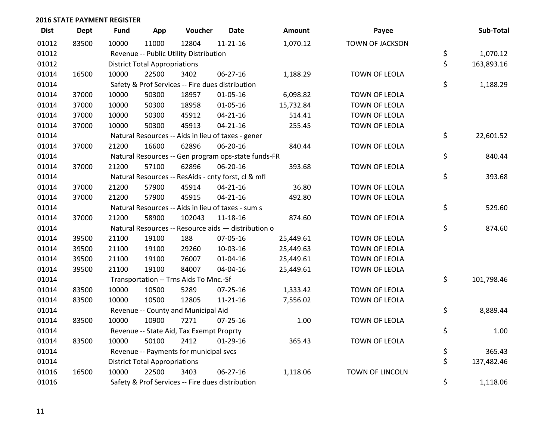| <b>Dist</b> | Dept  | <b>Fund</b> | App                                  | Voucher                                  | <b>Date</b>                                         | Amount    | Payee                  | Sub-Total        |
|-------------|-------|-------------|--------------------------------------|------------------------------------------|-----------------------------------------------------|-----------|------------------------|------------------|
| 01012       | 83500 | 10000       | 11000                                | 12804                                    | $11 - 21 - 16$                                      | 1,070.12  | <b>TOWN OF JACKSON</b> |                  |
| 01012       |       |             |                                      | Revenue -- Public Utility Distribution   |                                                     |           |                        | \$<br>1,070.12   |
| 01012       |       |             | <b>District Total Appropriations</b> |                                          |                                                     |           |                        | \$<br>163,893.16 |
| 01014       | 16500 | 10000       | 22500                                | 3402                                     | 06-27-16                                            | 1,188.29  | TOWN OF LEOLA          |                  |
| 01014       |       |             |                                      |                                          | Safety & Prof Services -- Fire dues distribution    |           |                        | \$<br>1,188.29   |
| 01014       | 37000 | 10000       | 50300                                | 18957                                    | $01 - 05 - 16$                                      | 6,098.82  | TOWN OF LEOLA          |                  |
| 01014       | 37000 | 10000       | 50300                                | 18958                                    | $01 - 05 - 16$                                      | 15,732.84 | TOWN OF LEOLA          |                  |
| 01014       | 37000 | 10000       | 50300                                | 45912                                    | $04 - 21 - 16$                                      | 514.41    | TOWN OF LEOLA          |                  |
| 01014       | 37000 | 10000       | 50300                                | 45913                                    | $04 - 21 - 16$                                      | 255.45    | TOWN OF LEOLA          |                  |
| 01014       |       |             |                                      |                                          | Natural Resources -- Aids in lieu of taxes - gener  |           |                        | \$<br>22,601.52  |
| 01014       | 37000 | 21200       | 16600                                | 62896                                    | 06-20-16                                            | 840.44    | TOWN OF LEOLA          |                  |
| 01014       |       |             |                                      |                                          | Natural Resources -- Gen program ops-state funds-FR |           |                        | \$<br>840.44     |
| 01014       | 37000 | 21200       | 57100                                | 62896                                    | 06-20-16                                            | 393.68    | TOWN OF LEOLA          |                  |
| 01014       |       |             |                                      |                                          | Natural Resources -- ResAids - cnty forst, cl & mfl |           |                        | \$<br>393.68     |
| 01014       | 37000 | 21200       | 57900                                | 45914                                    | $04 - 21 - 16$                                      | 36.80     | <b>TOWN OF LEOLA</b>   |                  |
| 01014       | 37000 | 21200       | 57900                                | 45915                                    | $04 - 21 - 16$                                      | 492.80    | TOWN OF LEOLA          |                  |
| 01014       |       |             |                                      |                                          | Natural Resources -- Aids in lieu of taxes - sum s  |           |                        | \$<br>529.60     |
| 01014       | 37000 | 21200       | 58900                                | 102043                                   | 11-18-16                                            | 874.60    | TOWN OF LEOLA          |                  |
| 01014       |       |             |                                      |                                          | Natural Resources -- Resource aids - distribution o |           |                        | \$<br>874.60     |
| 01014       | 39500 | 21100       | 19100                                | 188                                      | 07-05-16                                            | 25,449.61 | TOWN OF LEOLA          |                  |
| 01014       | 39500 | 21100       | 19100                                | 29260                                    | 10-03-16                                            | 25,449.63 | TOWN OF LEOLA          |                  |
| 01014       | 39500 | 21100       | 19100                                | 76007                                    | $01 - 04 - 16$                                      | 25,449.61 | TOWN OF LEOLA          |                  |
| 01014       | 39500 | 21100       | 19100                                | 84007                                    | 04-04-16                                            | 25,449.61 | TOWN OF LEOLA          |                  |
| 01014       |       |             |                                      | Transportation -- Trns Aids To Mnc.-Sf   |                                                     |           |                        | \$<br>101,798.46 |
| 01014       | 83500 | 10000       | 10500                                | 5289                                     | $07 - 25 - 16$                                      | 1,333.42  | <b>TOWN OF LEOLA</b>   |                  |
| 01014       | 83500 | 10000       | 10500                                | 12805                                    | $11 - 21 - 16$                                      | 7,556.02  | TOWN OF LEOLA          |                  |
| 01014       |       |             |                                      | Revenue -- County and Municipal Aid      |                                                     |           |                        | \$<br>8,889.44   |
| 01014       | 83500 | 10000       | 10900                                | 7271                                     | 07-25-16                                            | 1.00      | TOWN OF LEOLA          |                  |
| 01014       |       |             |                                      | Revenue -- State Aid, Tax Exempt Proprty |                                                     |           |                        | \$<br>1.00       |
| 01014       | 83500 | 10000       | 50100                                | 2412                                     | $01-29-16$                                          | 365.43    | TOWN OF LEOLA          |                  |
| 01014       |       |             |                                      | Revenue -- Payments for municipal svcs   |                                                     |           |                        | \$<br>365.43     |
| 01014       |       |             | <b>District Total Appropriations</b> |                                          |                                                     |           |                        | \$<br>137,482.46 |
| 01016       | 16500 | 10000       | 22500                                | 3403                                     | 06-27-16                                            | 1,118.06  | <b>TOWN OF LINCOLN</b> |                  |
| 01016       |       |             |                                      |                                          | Safety & Prof Services -- Fire dues distribution    |           |                        | \$<br>1,118.06   |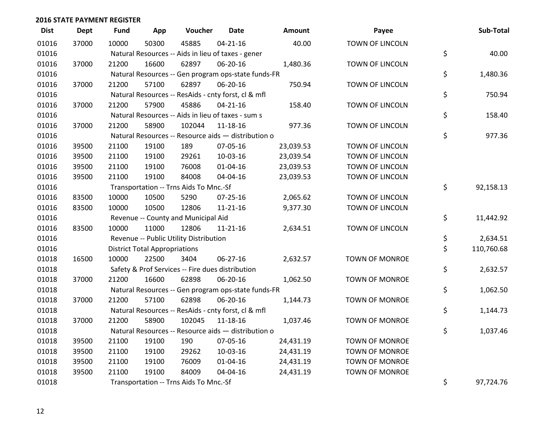| <b>Dist</b> | <b>Dept</b> | <b>Fund</b> | App                                  | Voucher                                             | <b>Date</b>    | Amount    | Payee                  | Sub-Total        |
|-------------|-------------|-------------|--------------------------------------|-----------------------------------------------------|----------------|-----------|------------------------|------------------|
| 01016       | 37000       | 10000       | 50300                                | 45885                                               | $04 - 21 - 16$ | 40.00     | <b>TOWN OF LINCOLN</b> |                  |
| 01016       |             |             |                                      | Natural Resources -- Aids in lieu of taxes - gener  |                |           |                        | \$<br>40.00      |
| 01016       | 37000       | 21200       | 16600                                | 62897                                               | 06-20-16       | 1,480.36  | TOWN OF LINCOLN        |                  |
| 01016       |             |             |                                      | Natural Resources -- Gen program ops-state funds-FR |                |           |                        | \$<br>1,480.36   |
| 01016       | 37000       | 21200       | 57100                                | 62897                                               | 06-20-16       | 750.94    | TOWN OF LINCOLN        |                  |
| 01016       |             |             |                                      | Natural Resources -- ResAids - cnty forst, cl & mfl |                |           |                        | \$<br>750.94     |
| 01016       | 37000       | 21200       | 57900                                | 45886                                               | $04 - 21 - 16$ | 158.40    | TOWN OF LINCOLN        |                  |
| 01016       |             |             |                                      | Natural Resources -- Aids in lieu of taxes - sum s  |                |           |                        | \$<br>158.40     |
| 01016       | 37000       | 21200       | 58900                                | 102044                                              | 11-18-16       | 977.36    | TOWN OF LINCOLN        |                  |
| 01016       |             |             |                                      | Natural Resources -- Resource aids - distribution o |                |           |                        | \$<br>977.36     |
| 01016       | 39500       | 21100       | 19100                                | 189                                                 | 07-05-16       | 23,039.53 | TOWN OF LINCOLN        |                  |
| 01016       | 39500       | 21100       | 19100                                | 29261                                               | 10-03-16       | 23,039.54 | TOWN OF LINCOLN        |                  |
| 01016       | 39500       | 21100       | 19100                                | 76008                                               | $01 - 04 - 16$ | 23,039.53 | TOWN OF LINCOLN        |                  |
| 01016       | 39500       | 21100       | 19100                                | 84008                                               | 04-04-16       | 23,039.53 | TOWN OF LINCOLN        |                  |
| 01016       |             |             |                                      | Transportation -- Trns Aids To Mnc.-Sf              |                |           |                        | \$<br>92,158.13  |
| 01016       | 83500       | 10000       | 10500                                | 5290                                                | $07 - 25 - 16$ | 2,065.62  | TOWN OF LINCOLN        |                  |
| 01016       | 83500       | 10000       | 10500                                | 12806                                               | $11 - 21 - 16$ | 9,377.30  | <b>TOWN OF LINCOLN</b> |                  |
| 01016       |             |             |                                      | Revenue -- County and Municipal Aid                 |                |           |                        | \$<br>11,442.92  |
| 01016       | 83500       | 10000       | 11000                                | 12806                                               | 11-21-16       | 2,634.51  | TOWN OF LINCOLN        |                  |
| 01016       |             |             |                                      | Revenue -- Public Utility Distribution              |                |           |                        | \$<br>2,634.51   |
| 01016       |             |             | <b>District Total Appropriations</b> |                                                     |                |           |                        | \$<br>110,760.68 |
| 01018       | 16500       | 10000       | 22500                                | 3404                                                | $06 - 27 - 16$ | 2,632.57  | TOWN OF MONROE         |                  |
| 01018       |             |             |                                      | Safety & Prof Services -- Fire dues distribution    |                |           |                        | \$<br>2,632.57   |
| 01018       | 37000       | 21200       | 16600                                | 62898                                               | 06-20-16       | 1,062.50  | <b>TOWN OF MONROE</b>  |                  |
| 01018       |             |             |                                      | Natural Resources -- Gen program ops-state funds-FR |                |           |                        | \$<br>1,062.50   |
| 01018       | 37000       | 21200       | 57100                                | 62898                                               | 06-20-16       | 1,144.73  | TOWN OF MONROE         |                  |
| 01018       |             |             |                                      | Natural Resources -- ResAids - cnty forst, cl & mfl |                |           |                        | \$<br>1,144.73   |
| 01018       | 37000       | 21200       | 58900                                | 102045                                              | $11 - 18 - 16$ | 1,037.46  | TOWN OF MONROE         |                  |
| 01018       |             |             |                                      | Natural Resources -- Resource aids - distribution o |                |           |                        | \$<br>1,037.46   |
| 01018       | 39500       | 21100       | 19100                                | 190                                                 | 07-05-16       | 24,431.19 | <b>TOWN OF MONROE</b>  |                  |
| 01018       | 39500       | 21100       | 19100                                | 29262                                               | 10-03-16       | 24,431.19 | <b>TOWN OF MONROE</b>  |                  |
| 01018       | 39500       | 21100       | 19100                                | 76009                                               | $01 - 04 - 16$ | 24,431.19 | <b>TOWN OF MONROE</b>  |                  |
| 01018       | 39500       | 21100       | 19100                                | 84009                                               | 04-04-16       | 24,431.19 | <b>TOWN OF MONROE</b>  |                  |
| 01018       |             |             |                                      | Transportation -- Trns Aids To Mnc.-Sf              |                |           |                        | \$<br>97,724.76  |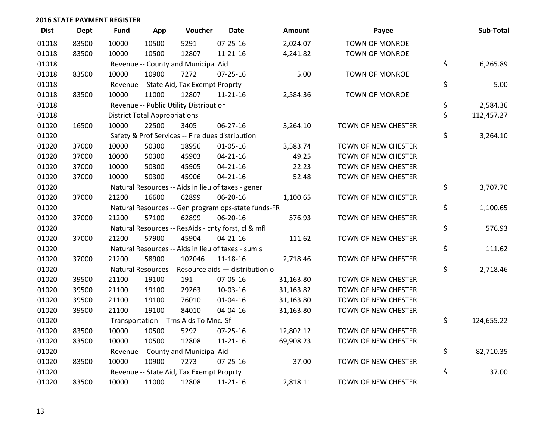| <b>Dist</b> | <b>Dept</b> | <b>Fund</b> | App                                  | Voucher                                  | Date                                                | <b>Amount</b> | Payee                      | Sub-Total        |
|-------------|-------------|-------------|--------------------------------------|------------------------------------------|-----------------------------------------------------|---------------|----------------------------|------------------|
| 01018       | 83500       | 10000       | 10500                                | 5291                                     | $07 - 25 - 16$                                      | 2,024.07      | <b>TOWN OF MONROE</b>      |                  |
| 01018       | 83500       | 10000       | 10500                                | 12807                                    | $11 - 21 - 16$                                      | 4,241.82      | <b>TOWN OF MONROE</b>      |                  |
| 01018       |             |             |                                      | Revenue -- County and Municipal Aid      |                                                     |               |                            | \$<br>6,265.89   |
| 01018       | 83500       | 10000       | 10900                                | 7272                                     | 07-25-16                                            | 5.00          | <b>TOWN OF MONROE</b>      |                  |
| 01018       |             |             |                                      | Revenue -- State Aid, Tax Exempt Proprty |                                                     |               |                            | \$<br>5.00       |
| 01018       | 83500       | 10000       | 11000                                | 12807                                    | 11-21-16                                            | 2,584.36      | <b>TOWN OF MONROE</b>      |                  |
| 01018       |             |             |                                      | Revenue -- Public Utility Distribution   |                                                     |               |                            | \$<br>2,584.36   |
| 01018       |             |             | <b>District Total Appropriations</b> |                                          |                                                     |               |                            | \$<br>112,457.27 |
| 01020       | 16500       | 10000       | 22500                                | 3405                                     | $06 - 27 - 16$                                      | 3,264.10      | TOWN OF NEW CHESTER        |                  |
| 01020       |             |             |                                      |                                          | Safety & Prof Services -- Fire dues distribution    |               |                            | \$<br>3,264.10   |
| 01020       | 37000       | 10000       | 50300                                | 18956                                    | $01 - 05 - 16$                                      | 3,583.74      | TOWN OF NEW CHESTER        |                  |
| 01020       | 37000       | 10000       | 50300                                | 45903                                    | $04 - 21 - 16$                                      | 49.25         | TOWN OF NEW CHESTER        |                  |
| 01020       | 37000       | 10000       | 50300                                | 45905                                    | $04 - 21 - 16$                                      | 22.23         | TOWN OF NEW CHESTER        |                  |
| 01020       | 37000       | 10000       | 50300                                | 45906                                    | $04 - 21 - 16$                                      | 52.48         | TOWN OF NEW CHESTER        |                  |
| 01020       |             |             |                                      |                                          | Natural Resources -- Aids in lieu of taxes - gener  |               |                            | \$<br>3,707.70   |
| 01020       | 37000       | 21200       | 16600                                | 62899                                    | 06-20-16                                            | 1,100.65      | TOWN OF NEW CHESTER        |                  |
| 01020       |             |             |                                      |                                          | Natural Resources -- Gen program ops-state funds-FR |               |                            | \$<br>1,100.65   |
| 01020       | 37000       | 21200       | 57100                                | 62899                                    | 06-20-16                                            | 576.93        | TOWN OF NEW CHESTER        |                  |
| 01020       |             |             |                                      |                                          | Natural Resources -- ResAids - cnty forst, cl & mfl |               |                            | \$<br>576.93     |
| 01020       | 37000       | 21200       | 57900                                | 45904                                    | $04 - 21 - 16$                                      | 111.62        | TOWN OF NEW CHESTER        |                  |
| 01020       |             |             |                                      |                                          | Natural Resources -- Aids in lieu of taxes - sum s  |               |                            | \$<br>111.62     |
| 01020       | 37000       | 21200       | 58900                                | 102046                                   | 11-18-16                                            | 2,718.46      | TOWN OF NEW CHESTER        |                  |
| 01020       |             |             |                                      |                                          | Natural Resources -- Resource aids - distribution o |               |                            | \$<br>2,718.46   |
| 01020       | 39500       | 21100       | 19100                                | 191                                      | 07-05-16                                            | 31,163.80     | TOWN OF NEW CHESTER        |                  |
| 01020       | 39500       | 21100       | 19100                                | 29263                                    | 10-03-16                                            | 31,163.82     | TOWN OF NEW CHESTER        |                  |
| 01020       | 39500       | 21100       | 19100                                | 76010                                    | 01-04-16                                            | 31,163.80     | TOWN OF NEW CHESTER        |                  |
| 01020       | 39500       | 21100       | 19100                                | 84010                                    | 04-04-16                                            | 31,163.80     | TOWN OF NEW CHESTER        |                  |
| 01020       |             |             |                                      | Transportation -- Trns Aids To Mnc.-Sf   |                                                     |               |                            | \$<br>124,655.22 |
| 01020       | 83500       | 10000       | 10500                                | 5292                                     | $07 - 25 - 16$                                      | 12,802.12     | TOWN OF NEW CHESTER        |                  |
| 01020       | 83500       | 10000       | 10500                                | 12808                                    | $11 - 21 - 16$                                      | 69,908.23     | TOWN OF NEW CHESTER        |                  |
| 01020       |             |             |                                      | Revenue -- County and Municipal Aid      |                                                     |               |                            | \$<br>82,710.35  |
| 01020       | 83500       | 10000       | 10900                                | 7273                                     | 07-25-16                                            | 37.00         | TOWN OF NEW CHESTER        |                  |
| 01020       |             |             |                                      | Revenue -- State Aid, Tax Exempt Proprty |                                                     |               |                            | \$<br>37.00      |
| 01020       | 83500       | 10000       | 11000                                | 12808                                    | $11 - 21 - 16$                                      | 2,818.11      | <b>TOWN OF NEW CHESTER</b> |                  |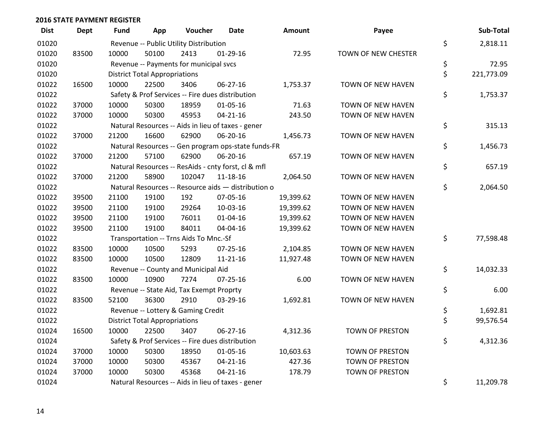| <b>Dist</b> | Dept  | <b>Fund</b> | App                                  | Voucher                                  | <b>Date</b>                                         | Amount    | Payee               | Sub-Total        |
|-------------|-------|-------------|--------------------------------------|------------------------------------------|-----------------------------------------------------|-----------|---------------------|------------------|
| 01020       |       |             |                                      | Revenue -- Public Utility Distribution   |                                                     |           |                     | \$<br>2,818.11   |
| 01020       | 83500 | 10000       | 50100                                | 2413                                     | $01-29-16$                                          | 72.95     | TOWN OF NEW CHESTER |                  |
| 01020       |       |             |                                      | Revenue -- Payments for municipal svcs   |                                                     |           |                     | \$<br>72.95      |
| 01020       |       |             | <b>District Total Appropriations</b> |                                          |                                                     |           |                     | \$<br>221,773.09 |
| 01022       | 16500 | 10000       | 22500                                | 3406                                     | 06-27-16                                            | 1,753.37  | TOWN OF NEW HAVEN   |                  |
| 01022       |       |             |                                      |                                          | Safety & Prof Services -- Fire dues distribution    |           |                     | \$<br>1,753.37   |
| 01022       | 37000 | 10000       | 50300                                | 18959                                    | $01 - 05 - 16$                                      | 71.63     | TOWN OF NEW HAVEN   |                  |
| 01022       | 37000 | 10000       | 50300                                | 45953                                    | $04 - 21 - 16$                                      | 243.50    | TOWN OF NEW HAVEN   |                  |
| 01022       |       |             |                                      |                                          | Natural Resources -- Aids in lieu of taxes - gener  |           |                     | \$<br>315.13     |
| 01022       | 37000 | 21200       | 16600                                | 62900                                    | 06-20-16                                            | 1,456.73  | TOWN OF NEW HAVEN   |                  |
| 01022       |       |             |                                      |                                          | Natural Resources -- Gen program ops-state funds-FR |           |                     | \$<br>1,456.73   |
| 01022       | 37000 | 21200       | 57100                                | 62900                                    | 06-20-16                                            | 657.19    | TOWN OF NEW HAVEN   |                  |
| 01022       |       |             |                                      |                                          | Natural Resources -- ResAids - cnty forst, cl & mfl |           |                     | \$<br>657.19     |
| 01022       | 37000 | 21200       | 58900                                | 102047                                   | 11-18-16                                            | 2,064.50  | TOWN OF NEW HAVEN   |                  |
| 01022       |       |             |                                      |                                          | Natural Resources -- Resource aids - distribution o |           |                     | \$<br>2,064.50   |
| 01022       | 39500 | 21100       | 19100                                | 192                                      | 07-05-16                                            | 19,399.62 | TOWN OF NEW HAVEN   |                  |
| 01022       | 39500 | 21100       | 19100                                | 29264                                    | 10-03-16                                            | 19,399.62 | TOWN OF NEW HAVEN   |                  |
| 01022       | 39500 | 21100       | 19100                                | 76011                                    | $01 - 04 - 16$                                      | 19,399.62 | TOWN OF NEW HAVEN   |                  |
| 01022       | 39500 | 21100       | 19100                                | 84011                                    | 04-04-16                                            | 19,399.62 | TOWN OF NEW HAVEN   |                  |
| 01022       |       |             |                                      | Transportation -- Trns Aids To Mnc.-Sf   |                                                     |           |                     | \$<br>77,598.48  |
| 01022       | 83500 | 10000       | 10500                                | 5293                                     | 07-25-16                                            | 2,104.85  | TOWN OF NEW HAVEN   |                  |
| 01022       | 83500 | 10000       | 10500                                | 12809                                    | $11 - 21 - 16$                                      | 11,927.48 | TOWN OF NEW HAVEN   |                  |
| 01022       |       |             |                                      | Revenue -- County and Municipal Aid      |                                                     |           |                     | \$<br>14,032.33  |
| 01022       | 83500 | 10000       | 10900                                | 7274                                     | $07 - 25 - 16$                                      | 6.00      | TOWN OF NEW HAVEN   |                  |
| 01022       |       |             |                                      | Revenue -- State Aid, Tax Exempt Proprty |                                                     |           |                     | \$<br>6.00       |
| 01022       | 83500 | 52100       | 36300                                | 2910                                     | 03-29-16                                            | 1,692.81  | TOWN OF NEW HAVEN   |                  |
| 01022       |       |             |                                      | Revenue -- Lottery & Gaming Credit       |                                                     |           |                     | \$<br>1,692.81   |
| 01022       |       |             | <b>District Total Appropriations</b> |                                          |                                                     |           |                     | \$<br>99,576.54  |
| 01024       | 16500 | 10000       | 22500                                | 3407                                     | 06-27-16                                            | 4,312.36  | TOWN OF PRESTON     |                  |
| 01024       |       |             |                                      |                                          | Safety & Prof Services -- Fire dues distribution    |           |                     | \$<br>4,312.36   |
| 01024       | 37000 | 10000       | 50300                                | 18950                                    | 01-05-16                                            | 10,603.63 | TOWN OF PRESTON     |                  |
| 01024       | 37000 | 10000       | 50300                                | 45367                                    | $04 - 21 - 16$                                      | 427.36    | TOWN OF PRESTON     |                  |
| 01024       | 37000 | 10000       | 50300                                | 45368                                    | $04 - 21 - 16$                                      | 178.79    | TOWN OF PRESTON     |                  |
| 01024       |       |             |                                      |                                          | Natural Resources -- Aids in lieu of taxes - gener  |           |                     | \$<br>11,209.78  |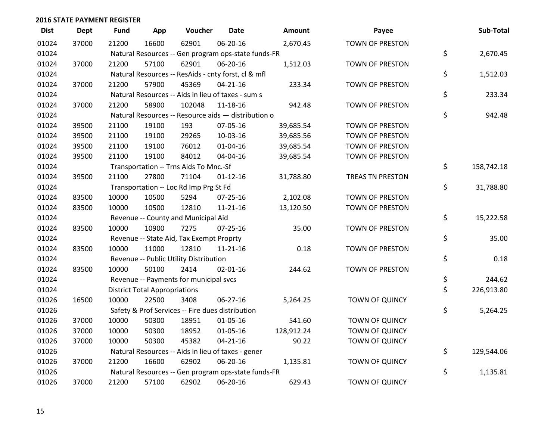| <b>Dist</b> | <b>Dept</b> | <b>Fund</b> | App                                  | Voucher                                             | <b>Date</b>    | <b>Amount</b> | Payee                   | Sub-Total        |
|-------------|-------------|-------------|--------------------------------------|-----------------------------------------------------|----------------|---------------|-------------------------|------------------|
| 01024       | 37000       | 21200       | 16600                                | 62901                                               | 06-20-16       | 2,670.45      | <b>TOWN OF PRESTON</b>  |                  |
| 01024       |             |             |                                      | Natural Resources -- Gen program ops-state funds-FR |                |               |                         | \$<br>2,670.45   |
| 01024       | 37000       | 21200       | 57100                                | 62901                                               | 06-20-16       | 1,512.03      | <b>TOWN OF PRESTON</b>  |                  |
| 01024       |             |             |                                      | Natural Resources -- ResAids - cnty forst, cl & mfl |                |               |                         | \$<br>1,512.03   |
| 01024       | 37000       | 21200       | 57900                                | 45369                                               | $04 - 21 - 16$ | 233.34        | <b>TOWN OF PRESTON</b>  |                  |
| 01024       |             |             |                                      | Natural Resources -- Aids in lieu of taxes - sum s  |                |               |                         | \$<br>233.34     |
| 01024       | 37000       | 21200       | 58900                                | 102048                                              | 11-18-16       | 942.48        | TOWN OF PRESTON         |                  |
| 01024       |             |             |                                      | Natural Resources -- Resource aids - distribution o |                |               |                         | \$<br>942.48     |
| 01024       | 39500       | 21100       | 19100                                | 193                                                 | 07-05-16       | 39,685.54     | <b>TOWN OF PRESTON</b>  |                  |
| 01024       | 39500       | 21100       | 19100                                | 29265                                               | 10-03-16       | 39,685.56     | <b>TOWN OF PRESTON</b>  |                  |
| 01024       | 39500       | 21100       | 19100                                | 76012                                               | $01 - 04 - 16$ | 39,685.54     | TOWN OF PRESTON         |                  |
| 01024       | 39500       | 21100       | 19100                                | 84012                                               | 04-04-16       | 39,685.54     | TOWN OF PRESTON         |                  |
| 01024       |             |             |                                      | Transportation -- Trns Aids To Mnc.-Sf              |                |               |                         | \$<br>158,742.18 |
| 01024       | 39500       | 21100       | 27800                                | 71104                                               | $01 - 12 - 16$ | 31,788.80     | <b>TREAS TN PRESTON</b> |                  |
| 01024       |             |             |                                      | Transportation -- Loc Rd Imp Prg St Fd              |                |               |                         | \$<br>31,788.80  |
| 01024       | 83500       | 10000       | 10500                                | 5294                                                | 07-25-16       | 2,102.08      | TOWN OF PRESTON         |                  |
| 01024       | 83500       | 10000       | 10500                                | 12810                                               | $11 - 21 - 16$ | 13,120.50     | <b>TOWN OF PRESTON</b>  |                  |
| 01024       |             |             |                                      | Revenue -- County and Municipal Aid                 |                |               |                         | \$<br>15,222.58  |
| 01024       | 83500       | 10000       | 10900                                | 7275                                                | $07 - 25 - 16$ | 35.00         | TOWN OF PRESTON         |                  |
| 01024       |             |             |                                      | Revenue -- State Aid, Tax Exempt Proprty            |                |               |                         | \$<br>35.00      |
| 01024       | 83500       | 10000       | 11000                                | 12810                                               | 11-21-16       | 0.18          | TOWN OF PRESTON         |                  |
| 01024       |             |             |                                      | Revenue -- Public Utility Distribution              |                |               |                         | \$<br>0.18       |
| 01024       | 83500       | 10000       | 50100                                | 2414                                                | $02 - 01 - 16$ | 244.62        | TOWN OF PRESTON         |                  |
| 01024       |             |             |                                      | Revenue -- Payments for municipal svcs              |                |               |                         | \$<br>244.62     |
| 01024       |             |             | <b>District Total Appropriations</b> |                                                     |                |               |                         | \$<br>226,913.80 |
| 01026       | 16500       | 10000       | 22500                                | 3408                                                | 06-27-16       | 5,264.25      | TOWN OF QUINCY          |                  |
| 01026       |             |             |                                      | Safety & Prof Services -- Fire dues distribution    |                |               |                         | \$<br>5,264.25   |
| 01026       | 37000       | 10000       | 50300                                | 18951                                               | 01-05-16       | 541.60        | <b>TOWN OF QUINCY</b>   |                  |
| 01026       | 37000       | 10000       | 50300                                | 18952                                               | 01-05-16       | 128,912.24    | TOWN OF QUINCY          |                  |
| 01026       | 37000       | 10000       | 50300                                | 45382                                               | $04 - 21 - 16$ | 90.22         | TOWN OF QUINCY          |                  |
| 01026       |             |             |                                      | Natural Resources -- Aids in lieu of taxes - gener  |                |               |                         | \$<br>129,544.06 |
| 01026       | 37000       | 21200       | 16600                                | 62902                                               | 06-20-16       | 1,135.81      | <b>TOWN OF QUINCY</b>   |                  |
| 01026       |             |             |                                      | Natural Resources -- Gen program ops-state funds-FR |                |               |                         | \$<br>1,135.81   |
| 01026       | 37000       | 21200       | 57100                                | 62902                                               | 06-20-16       | 629.43        | TOWN OF QUINCY          |                  |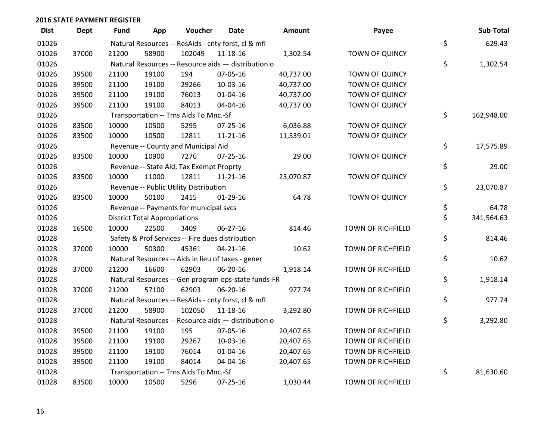| <b>Dist</b> | <b>Dept</b> | <b>Fund</b> | App                                  | Voucher                                  | <b>Date</b>                                         | Amount    | Payee                    | Sub-Total        |
|-------------|-------------|-------------|--------------------------------------|------------------------------------------|-----------------------------------------------------|-----------|--------------------------|------------------|
| 01026       |             |             |                                      |                                          | Natural Resources -- ResAids - cnty forst, cl & mfl |           |                          | \$<br>629.43     |
| 01026       | 37000       | 21200       | 58900                                | 102049                                   | 11-18-16                                            | 1,302.54  | <b>TOWN OF QUINCY</b>    |                  |
| 01026       |             |             |                                      |                                          | Natural Resources -- Resource aids - distribution o |           |                          | \$<br>1,302.54   |
| 01026       | 39500       | 21100       | 19100                                | 194                                      | 07-05-16                                            | 40,737.00 | TOWN OF QUINCY           |                  |
| 01026       | 39500       | 21100       | 19100                                | 29266                                    | 10-03-16                                            | 40,737.00 | TOWN OF QUINCY           |                  |
| 01026       | 39500       | 21100       | 19100                                | 76013                                    | $01 - 04 - 16$                                      | 40,737.00 | TOWN OF QUINCY           |                  |
| 01026       | 39500       | 21100       | 19100                                | 84013                                    | 04-04-16                                            | 40,737.00 | TOWN OF QUINCY           |                  |
| 01026       |             |             |                                      | Transportation -- Trns Aids To Mnc.-Sf   |                                                     |           |                          | \$<br>162,948.00 |
| 01026       | 83500       | 10000       | 10500                                | 5295                                     | $07 - 25 - 16$                                      | 6,036.88  | <b>TOWN OF QUINCY</b>    |                  |
| 01026       | 83500       | 10000       | 10500                                | 12811                                    | $11 - 21 - 16$                                      | 11,539.01 | TOWN OF QUINCY           |                  |
| 01026       |             |             |                                      | Revenue -- County and Municipal Aid      |                                                     |           |                          | \$<br>17,575.89  |
| 01026       | 83500       | 10000       | 10900                                | 7276                                     | $07 - 25 - 16$                                      | 29.00     | TOWN OF QUINCY           |                  |
| 01026       |             |             |                                      | Revenue -- State Aid, Tax Exempt Proprty |                                                     |           |                          | \$<br>29.00      |
| 01026       | 83500       | 10000       | 11000                                | 12811                                    | $11 - 21 - 16$                                      | 23,070.87 | TOWN OF QUINCY           |                  |
| 01026       |             |             |                                      | Revenue -- Public Utility Distribution   |                                                     |           |                          | \$<br>23,070.87  |
| 01026       | 83500       | 10000       | 50100                                | 2415                                     | $01-29-16$                                          | 64.78     | <b>TOWN OF QUINCY</b>    |                  |
| 01026       |             |             |                                      | Revenue -- Payments for municipal svcs   |                                                     |           |                          | \$<br>64.78      |
| 01026       |             |             | <b>District Total Appropriations</b> |                                          |                                                     |           |                          | \$<br>341,564.63 |
| 01028       | 16500       | 10000       | 22500                                | 3409                                     | 06-27-16                                            | 814.46    | <b>TOWN OF RICHFIELD</b> |                  |
| 01028       |             |             |                                      |                                          | Safety & Prof Services -- Fire dues distribution    |           |                          | \$<br>814.46     |
| 01028       | 37000       | 10000       | 50300                                | 45361                                    | $04 - 21 - 16$                                      | 10.62     | <b>TOWN OF RICHFIELD</b> |                  |
| 01028       |             |             |                                      |                                          | Natural Resources -- Aids in lieu of taxes - gener  |           |                          | \$<br>10.62      |
| 01028       | 37000       | 21200       | 16600                                | 62903                                    | 06-20-16                                            | 1,918.14  | <b>TOWN OF RICHFIELD</b> |                  |
| 01028       |             |             |                                      |                                          | Natural Resources -- Gen program ops-state funds-FR |           |                          | \$<br>1,918.14   |
| 01028       | 37000       | 21200       | 57100                                | 62903                                    | 06-20-16                                            | 977.74    | TOWN OF RICHFIELD        |                  |
| 01028       |             |             |                                      |                                          | Natural Resources -- ResAids - cnty forst, cl & mfl |           |                          | \$<br>977.74     |
| 01028       | 37000       | 21200       | 58900                                | 102050                                   | 11-18-16                                            | 3,292.80  | TOWN OF RICHFIELD        |                  |
| 01028       |             |             |                                      |                                          | Natural Resources -- Resource aids - distribution o |           |                          | \$<br>3,292.80   |
| 01028       | 39500       | 21100       | 19100                                | 195                                      | 07-05-16                                            | 20,407.65 | <b>TOWN OF RICHFIELD</b> |                  |
| 01028       | 39500       | 21100       | 19100                                | 29267                                    | 10-03-16                                            | 20,407.65 | <b>TOWN OF RICHFIELD</b> |                  |
| 01028       | 39500       | 21100       | 19100                                | 76014                                    | 01-04-16                                            | 20,407.65 | TOWN OF RICHFIELD        |                  |
| 01028       | 39500       | 21100       | 19100                                | 84014                                    | 04-04-16                                            | 20,407.65 | TOWN OF RICHFIELD        |                  |
| 01028       |             |             |                                      | Transportation -- Trns Aids To Mnc.-Sf   |                                                     |           |                          | \$<br>81,630.60  |
| 01028       | 83500       | 10000       | 10500                                | 5296                                     | 07-25-16                                            | 1,030.44  | <b>TOWN OF RICHFIELD</b> |                  |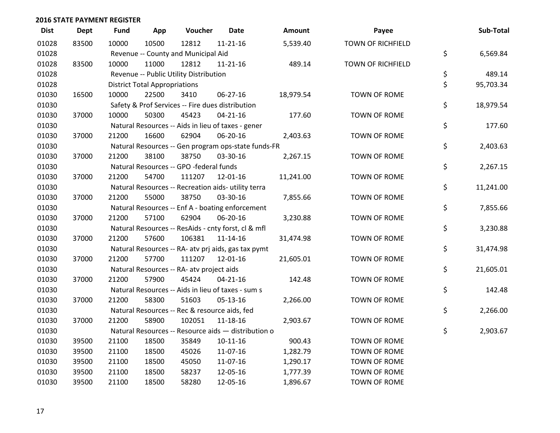| <b>Dist</b> | <b>Dept</b> | Fund  | App                                  | Voucher                                             | <b>Date</b>    | <b>Amount</b> | Payee                    | Sub-Total       |
|-------------|-------------|-------|--------------------------------------|-----------------------------------------------------|----------------|---------------|--------------------------|-----------------|
| 01028       | 83500       | 10000 | 10500                                | 12812                                               | $11 - 21 - 16$ | 5,539.40      | <b>TOWN OF RICHFIELD</b> |                 |
| 01028       |             |       |                                      | Revenue -- County and Municipal Aid                 |                |               |                          | \$<br>6,569.84  |
| 01028       | 83500       | 10000 | 11000                                | 12812                                               | 11-21-16       | 489.14        | TOWN OF RICHFIELD        |                 |
| 01028       |             |       |                                      | Revenue -- Public Utility Distribution              |                |               |                          | \$<br>489.14    |
| 01028       |             |       | <b>District Total Appropriations</b> |                                                     |                |               |                          | \$<br>95,703.34 |
| 01030       | 16500       | 10000 | 22500                                | 3410                                                | 06-27-16       | 18,979.54     | TOWN OF ROME             |                 |
| 01030       |             |       |                                      | Safety & Prof Services -- Fire dues distribution    |                |               |                          | \$<br>18,979.54 |
| 01030       | 37000       | 10000 | 50300                                | 45423                                               | $04 - 21 - 16$ | 177.60        | TOWN OF ROME             |                 |
| 01030       |             |       |                                      | Natural Resources -- Aids in lieu of taxes - gener  |                |               |                          | \$<br>177.60    |
| 01030       | 37000       | 21200 | 16600                                | 62904                                               | 06-20-16       | 2,403.63      | TOWN OF ROME             |                 |
| 01030       |             |       |                                      | Natural Resources -- Gen program ops-state funds-FR |                |               |                          | \$<br>2,403.63  |
| 01030       | 37000       | 21200 | 38100                                | 38750                                               | 03-30-16       | 2,267.15      | TOWN OF ROME             |                 |
| 01030       |             |       |                                      | Natural Resources -- GPO -federal funds             |                |               |                          | \$<br>2,267.15  |
| 01030       | 37000       | 21200 | 54700                                | 111207                                              | 12-01-16       | 11,241.00     | TOWN OF ROME             |                 |
| 01030       |             |       |                                      | Natural Resources -- Recreation aids- utility terra |                |               |                          | \$<br>11,241.00 |
| 01030       | 37000       | 21200 | 55000                                | 38750                                               | 03-30-16       | 7,855.66      | TOWN OF ROME             |                 |
| 01030       |             |       |                                      | Natural Resources -- Enf A - boating enforcement    |                |               |                          | \$<br>7,855.66  |
| 01030       | 37000       | 21200 | 57100                                | 62904                                               | 06-20-16       | 3,230.88      | TOWN OF ROME             |                 |
| 01030       |             |       |                                      | Natural Resources -- ResAids - cnty forst, cl & mfl |                |               |                          | \$<br>3,230.88  |
| 01030       | 37000       | 21200 | 57600                                | 106381                                              | $11 - 14 - 16$ | 31,474.98     | TOWN OF ROME             |                 |
| 01030       |             |       |                                      | Natural Resources -- RA- atv prj aids, gas tax pymt |                |               |                          | \$<br>31,474.98 |
| 01030       | 37000       | 21200 | 57700                                | 111207                                              | 12-01-16       | 21,605.01     | TOWN OF ROME             |                 |
| 01030       |             |       |                                      | Natural Resources -- RA- atv project aids           |                |               |                          | \$<br>21,605.01 |
| 01030       | 37000       | 21200 | 57900                                | 45424                                               | $04 - 21 - 16$ | 142.48        | TOWN OF ROME             |                 |
| 01030       |             |       |                                      | Natural Resources -- Aids in lieu of taxes - sum s  |                |               |                          | \$<br>142.48    |
| 01030       | 37000       | 21200 | 58300                                | 51603                                               | 05-13-16       | 2,266.00      | TOWN OF ROME             |                 |
| 01030       |             |       |                                      | Natural Resources -- Rec & resource aids, fed       |                |               |                          | \$<br>2,266.00  |
| 01030       | 37000       | 21200 | 58900                                | 102051                                              | 11-18-16       | 2,903.67      | TOWN OF ROME             |                 |
| 01030       |             |       |                                      | Natural Resources -- Resource aids - distribution o |                |               |                          | \$<br>2,903.67  |
| 01030       | 39500       | 21100 | 18500                                | 35849                                               | $10-11-16$     | 900.43        | TOWN OF ROME             |                 |
| 01030       | 39500       | 21100 | 18500                                | 45026                                               | 11-07-16       | 1,282.79      | TOWN OF ROME             |                 |
| 01030       | 39500       | 21100 | 18500                                | 45050                                               | 11-07-16       | 1,290.17      | TOWN OF ROME             |                 |
| 01030       | 39500       | 21100 | 18500                                | 58237                                               | 12-05-16       | 1,777.39      | TOWN OF ROME             |                 |
| 01030       | 39500       | 21100 | 18500                                | 58280                                               | 12-05-16       | 1,896.67      | TOWN OF ROME             |                 |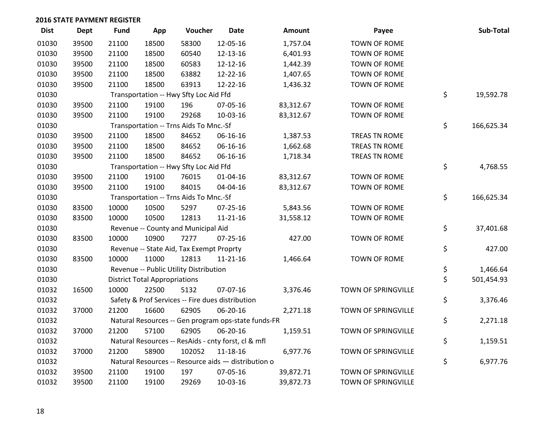| <b>Dist</b> | Dept  | <b>Fund</b> | App                                  | Voucher                                  | <b>Date</b>                                         | <b>Amount</b> | Payee               | Sub-Total        |
|-------------|-------|-------------|--------------------------------------|------------------------------------------|-----------------------------------------------------|---------------|---------------------|------------------|
| 01030       | 39500 | 21100       | 18500                                | 58300                                    | 12-05-16                                            | 1,757.04      | <b>TOWN OF ROME</b> |                  |
| 01030       | 39500 | 21100       | 18500                                | 60540                                    | 12-13-16                                            | 6,401.93      | TOWN OF ROME        |                  |
| 01030       | 39500 | 21100       | 18500                                | 60583                                    | 12-12-16                                            | 1,442.39      | <b>TOWN OF ROME</b> |                  |
| 01030       | 39500 | 21100       | 18500                                | 63882                                    | 12-22-16                                            | 1,407.65      | TOWN OF ROME        |                  |
| 01030       | 39500 | 21100       | 18500                                | 63913                                    | 12-22-16                                            | 1,436.32      | <b>TOWN OF ROME</b> |                  |
| 01030       |       |             |                                      | Transportation -- Hwy Sfty Loc Aid Ffd   |                                                     |               |                     | \$<br>19,592.78  |
| 01030       | 39500 | 21100       | 19100                                | 196                                      | 07-05-16                                            | 83,312.67     | TOWN OF ROME        |                  |
| 01030       | 39500 | 21100       | 19100                                | 29268                                    | 10-03-16                                            | 83,312.67     | TOWN OF ROME        |                  |
| 01030       |       |             |                                      | Transportation -- Trns Aids To Mnc.-Sf   |                                                     |               |                     | \$<br>166,625.34 |
| 01030       | 39500 | 21100       | 18500                                | 84652                                    | 06-16-16                                            | 1,387.53      | TREAS TN ROME       |                  |
| 01030       | 39500 | 21100       | 18500                                | 84652                                    | 06-16-16                                            | 1,662.68      | TREAS TN ROME       |                  |
| 01030       | 39500 | 21100       | 18500                                | 84652                                    | 06-16-16                                            | 1,718.34      | TREAS TN ROME       |                  |
| 01030       |       |             |                                      | Transportation -- Hwy Sfty Loc Aid Ffd   |                                                     |               |                     | \$<br>4,768.55   |
| 01030       | 39500 | 21100       | 19100                                | 76015                                    | $01 - 04 - 16$                                      | 83,312.67     | TOWN OF ROME        |                  |
| 01030       | 39500 | 21100       | 19100                                | 84015                                    | 04-04-16                                            | 83,312.67     | TOWN OF ROME        |                  |
| 01030       |       |             |                                      | Transportation -- Trns Aids To Mnc.-Sf   |                                                     |               |                     | \$<br>166,625.34 |
| 01030       | 83500 | 10000       | 10500                                | 5297                                     | 07-25-16                                            | 5,843.56      | TOWN OF ROME        |                  |
| 01030       | 83500 | 10000       | 10500                                | 12813                                    | 11-21-16                                            | 31,558.12     | TOWN OF ROME        |                  |
| 01030       |       |             |                                      | Revenue -- County and Municipal Aid      |                                                     |               |                     | \$<br>37,401.68  |
| 01030       | 83500 | 10000       | 10900                                | 7277                                     | $07 - 25 - 16$                                      | 427.00        | TOWN OF ROME        |                  |
| 01030       |       |             |                                      | Revenue -- State Aid, Tax Exempt Proprty |                                                     |               |                     | \$<br>427.00     |
| 01030       | 83500 | 10000       | 11000                                | 12813                                    | $11 - 21 - 16$                                      | 1,466.64      | TOWN OF ROME        |                  |
| 01030       |       |             |                                      | Revenue -- Public Utility Distribution   |                                                     |               |                     | \$<br>1,466.64   |
| 01030       |       |             | <b>District Total Appropriations</b> |                                          |                                                     |               |                     | \$<br>501,454.93 |
| 01032       | 16500 | 10000       | 22500                                | 5132                                     | 07-07-16                                            | 3,376.46      | TOWN OF SPRINGVILLE |                  |
| 01032       |       |             |                                      |                                          | Safety & Prof Services -- Fire dues distribution    |               |                     | \$<br>3,376.46   |
| 01032       | 37000 | 21200       | 16600                                | 62905                                    | 06-20-16                                            | 2,271.18      | TOWN OF SPRINGVILLE |                  |
| 01032       |       |             |                                      |                                          | Natural Resources -- Gen program ops-state funds-FR |               |                     | \$<br>2,271.18   |
| 01032       | 37000 | 21200       | 57100                                | 62905                                    | 06-20-16                                            | 1,159.51      | TOWN OF SPRINGVILLE |                  |
| 01032       |       |             |                                      |                                          | Natural Resources -- ResAids - cnty forst, cl & mfl |               |                     | \$<br>1,159.51   |
| 01032       | 37000 | 21200       | 58900                                | 102052                                   | 11-18-16                                            | 6,977.76      | TOWN OF SPRINGVILLE |                  |
| 01032       |       |             |                                      |                                          | Natural Resources -- Resource aids - distribution o |               |                     | \$<br>6,977.76   |
| 01032       | 39500 | 21100       | 19100                                | 197                                      | 07-05-16                                            | 39,872.71     | TOWN OF SPRINGVILLE |                  |
| 01032       | 39500 | 21100       | 19100                                | 29269                                    | 10-03-16                                            | 39,872.73     | TOWN OF SPRINGVILLE |                  |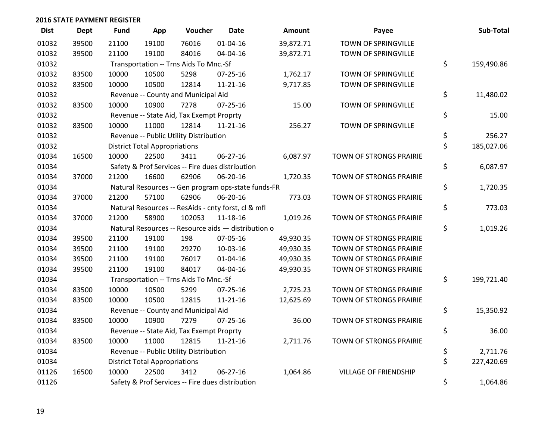| <b>Dist</b> | <b>Dept</b> | <b>Fund</b> | App                                  | Voucher                                  | <b>Date</b>                                         | <b>Amount</b> | Payee                        | Sub-Total        |
|-------------|-------------|-------------|--------------------------------------|------------------------------------------|-----------------------------------------------------|---------------|------------------------------|------------------|
| 01032       | 39500       | 21100       | 19100                                | 76016                                    | $01 - 04 - 16$                                      | 39,872.71     | TOWN OF SPRINGVILLE          |                  |
| 01032       | 39500       | 21100       | 19100                                | 84016                                    | 04-04-16                                            | 39,872.71     | TOWN OF SPRINGVILLE          |                  |
| 01032       |             |             |                                      | Transportation -- Trns Aids To Mnc.-Sf   |                                                     |               |                              | \$<br>159,490.86 |
| 01032       | 83500       | 10000       | 10500                                | 5298                                     | $07 - 25 - 16$                                      | 1,762.17      | TOWN OF SPRINGVILLE          |                  |
| 01032       | 83500       | 10000       | 10500                                | 12814                                    | $11 - 21 - 16$                                      | 9,717.85      | TOWN OF SPRINGVILLE          |                  |
| 01032       |             |             |                                      | Revenue -- County and Municipal Aid      |                                                     |               |                              | \$<br>11,480.02  |
| 01032       | 83500       | 10000       | 10900                                | 7278                                     | $07 - 25 - 16$                                      | 15.00         | TOWN OF SPRINGVILLE          |                  |
| 01032       |             |             |                                      | Revenue -- State Aid, Tax Exempt Proprty |                                                     |               |                              | \$<br>15.00      |
| 01032       | 83500       | 10000       | 11000                                | 12814                                    | $11 - 21 - 16$                                      | 256.27        | TOWN OF SPRINGVILLE          |                  |
| 01032       |             |             |                                      | Revenue -- Public Utility Distribution   |                                                     |               |                              | \$<br>256.27     |
| 01032       |             |             | <b>District Total Appropriations</b> |                                          |                                                     |               |                              | \$<br>185,027.06 |
| 01034       | 16500       | 10000       | 22500                                | 3411                                     | $06 - 27 - 16$                                      | 6,087.97      | TOWN OF STRONGS PRAIRIE      |                  |
| 01034       |             |             |                                      |                                          | Safety & Prof Services -- Fire dues distribution    |               |                              | \$<br>6,087.97   |
| 01034       | 37000       | 21200       | 16600                                | 62906                                    | 06-20-16                                            | 1,720.35      | TOWN OF STRONGS PRAIRIE      |                  |
| 01034       |             |             |                                      |                                          | Natural Resources -- Gen program ops-state funds-FR |               |                              | \$<br>1,720.35   |
| 01034       | 37000       | 21200       | 57100                                | 62906                                    | 06-20-16                                            | 773.03        | TOWN OF STRONGS PRAIRIE      |                  |
| 01034       |             |             |                                      |                                          | Natural Resources -- ResAids - cnty forst, cl & mfl |               |                              | \$<br>773.03     |
| 01034       | 37000       | 21200       | 58900                                | 102053                                   | 11-18-16                                            | 1,019.26      | TOWN OF STRONGS PRAIRIE      |                  |
| 01034       |             |             |                                      |                                          | Natural Resources -- Resource aids - distribution o |               |                              | \$<br>1,019.26   |
| 01034       | 39500       | 21100       | 19100                                | 198                                      | 07-05-16                                            | 49,930.35     | TOWN OF STRONGS PRAIRIE      |                  |
| 01034       | 39500       | 21100       | 19100                                | 29270                                    | 10-03-16                                            | 49,930.35     | TOWN OF STRONGS PRAIRIE      |                  |
| 01034       | 39500       | 21100       | 19100                                | 76017                                    | $01 - 04 - 16$                                      | 49,930.35     | TOWN OF STRONGS PRAIRIE      |                  |
| 01034       | 39500       | 21100       | 19100                                | 84017                                    | 04-04-16                                            | 49,930.35     | TOWN OF STRONGS PRAIRIE      |                  |
| 01034       |             |             |                                      | Transportation -- Trns Aids To Mnc.-Sf   |                                                     |               |                              | \$<br>199,721.40 |
| 01034       | 83500       | 10000       | 10500                                | 5299                                     | 07-25-16                                            | 2,725.23      | TOWN OF STRONGS PRAIRIE      |                  |
| 01034       | 83500       | 10000       | 10500                                | 12815                                    | $11 - 21 - 16$                                      | 12,625.69     | TOWN OF STRONGS PRAIRIE      |                  |
| 01034       |             |             |                                      | Revenue -- County and Municipal Aid      |                                                     |               |                              | \$<br>15,350.92  |
| 01034       | 83500       | 10000       | 10900                                | 7279                                     | $07 - 25 - 16$                                      | 36.00         | TOWN OF STRONGS PRAIRIE      |                  |
| 01034       |             |             |                                      | Revenue -- State Aid, Tax Exempt Proprty |                                                     |               |                              | \$<br>36.00      |
| 01034       | 83500       | 10000       | 11000                                | 12815                                    | $11 - 21 - 16$                                      | 2,711.76      | TOWN OF STRONGS PRAIRIE      |                  |
| 01034       |             |             |                                      | Revenue -- Public Utility Distribution   |                                                     |               |                              | \$<br>2,711.76   |
| 01034       |             |             | <b>District Total Appropriations</b> |                                          |                                                     |               |                              | \$<br>227,420.69 |
| 01126       | 16500       | 10000       | 22500                                | 3412                                     | 06-27-16                                            | 1,064.86      | <b>VILLAGE OF FRIENDSHIP</b> |                  |
| 01126       |             |             |                                      |                                          | Safety & Prof Services -- Fire dues distribution    |               |                              | \$<br>1,064.86   |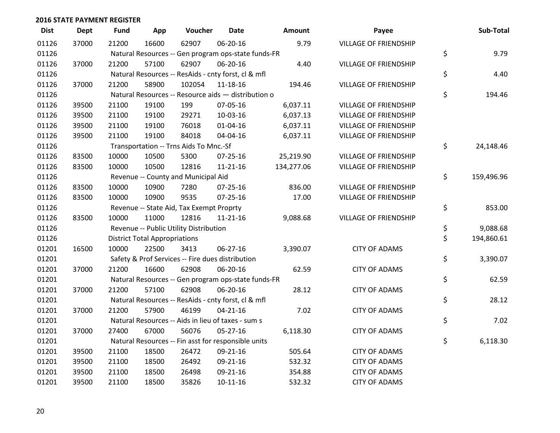| <b>Dist</b> | <b>Dept</b> | <b>Fund</b> | App                                  | Voucher                                             | <b>Date</b>    | Amount     | Payee                        | Sub-Total        |
|-------------|-------------|-------------|--------------------------------------|-----------------------------------------------------|----------------|------------|------------------------------|------------------|
| 01126       | 37000       | 21200       | 16600                                | 62907                                               | 06-20-16       | 9.79       | <b>VILLAGE OF FRIENDSHIP</b> |                  |
| 01126       |             |             |                                      | Natural Resources -- Gen program ops-state funds-FR |                |            |                              | \$<br>9.79       |
| 01126       | 37000       | 21200       | 57100                                | 62907                                               | 06-20-16       | 4.40       | <b>VILLAGE OF FRIENDSHIP</b> |                  |
| 01126       |             |             |                                      | Natural Resources -- ResAids - cnty forst, cl & mfl |                |            |                              | \$<br>4.40       |
| 01126       | 37000       | 21200       | 58900                                | 102054                                              | 11-18-16       | 194.46     | <b>VILLAGE OF FRIENDSHIP</b> |                  |
| 01126       |             |             |                                      | Natural Resources -- Resource aids - distribution o |                |            |                              | \$<br>194.46     |
| 01126       | 39500       | 21100       | 19100                                | 199                                                 | 07-05-16       | 6,037.11   | <b>VILLAGE OF FRIENDSHIP</b> |                  |
| 01126       | 39500       | 21100       | 19100                                | 29271                                               | 10-03-16       | 6,037.13   | <b>VILLAGE OF FRIENDSHIP</b> |                  |
| 01126       | 39500       | 21100       | 19100                                | 76018                                               | 01-04-16       | 6,037.11   | <b>VILLAGE OF FRIENDSHIP</b> |                  |
| 01126       | 39500       | 21100       | 19100                                | 84018                                               | 04-04-16       | 6,037.11   | VILLAGE OF FRIENDSHIP        |                  |
| 01126       |             |             |                                      | Transportation -- Trns Aids To Mnc.-Sf              |                |            |                              | \$<br>24,148.46  |
| 01126       | 83500       | 10000       | 10500                                | 5300                                                | 07-25-16       | 25,219.90  | <b>VILLAGE OF FRIENDSHIP</b> |                  |
| 01126       | 83500       | 10000       | 10500                                | 12816                                               | 11-21-16       | 134,277.06 | <b>VILLAGE OF FRIENDSHIP</b> |                  |
| 01126       |             |             |                                      | Revenue -- County and Municipal Aid                 |                |            |                              | \$<br>159,496.96 |
| 01126       | 83500       | 10000       | 10900                                | 7280                                                | $07 - 25 - 16$ | 836.00     | <b>VILLAGE OF FRIENDSHIP</b> |                  |
| 01126       | 83500       | 10000       | 10900                                | 9535                                                | 07-25-16       | 17.00      | <b>VILLAGE OF FRIENDSHIP</b> |                  |
| 01126       |             |             |                                      | Revenue -- State Aid, Tax Exempt Proprty            |                |            |                              | \$<br>853.00     |
| 01126       | 83500       | 10000       | 11000                                | 12816                                               | $11 - 21 - 16$ | 9,088.68   | <b>VILLAGE OF FRIENDSHIP</b> |                  |
| 01126       |             |             |                                      | Revenue -- Public Utility Distribution              |                |            |                              | \$<br>9,088.68   |
| 01126       |             |             | <b>District Total Appropriations</b> |                                                     |                |            |                              | \$<br>194,860.61 |
| 01201       | 16500       | 10000       | 22500                                | 3413                                                | 06-27-16       | 3,390.07   | <b>CITY OF ADAMS</b>         |                  |
| 01201       |             |             |                                      | Safety & Prof Services -- Fire dues distribution    |                |            |                              | \$<br>3,390.07   |
| 01201       | 37000       | 21200       | 16600                                | 62908                                               | 06-20-16       | 62.59      | <b>CITY OF ADAMS</b>         |                  |
| 01201       |             |             |                                      | Natural Resources -- Gen program ops-state funds-FR |                |            |                              | \$<br>62.59      |
| 01201       | 37000       | 21200       | 57100                                | 62908                                               | 06-20-16       | 28.12      | <b>CITY OF ADAMS</b>         |                  |
| 01201       |             |             |                                      | Natural Resources -- ResAids - cnty forst, cl & mfl |                |            |                              | \$<br>28.12      |
| 01201       | 37000       | 21200       | 57900                                | 46199                                               | $04 - 21 - 16$ | 7.02       | <b>CITY OF ADAMS</b>         |                  |
| 01201       |             |             |                                      | Natural Resources -- Aids in lieu of taxes - sum s  |                |            |                              | \$<br>7.02       |
| 01201       | 37000       | 27400       | 67000                                | 56076                                               | $05 - 27 - 16$ | 6,118.30   | <b>CITY OF ADAMS</b>         |                  |
| 01201       |             |             |                                      | Natural Resources -- Fin asst for responsible units |                |            |                              | \$<br>6,118.30   |
| 01201       | 39500       | 21100       | 18500                                | 26472                                               | 09-21-16       | 505.64     | <b>CITY OF ADAMS</b>         |                  |
| 01201       | 39500       | 21100       | 18500                                | 26492                                               | 09-21-16       | 532.32     | <b>CITY OF ADAMS</b>         |                  |
| 01201       | 39500       | 21100       | 18500                                | 26498                                               | 09-21-16       | 354.88     | <b>CITY OF ADAMS</b>         |                  |
| 01201       | 39500       | 21100       | 18500                                | 35826                                               | $10-11-16$     | 532.32     | <b>CITY OF ADAMS</b>         |                  |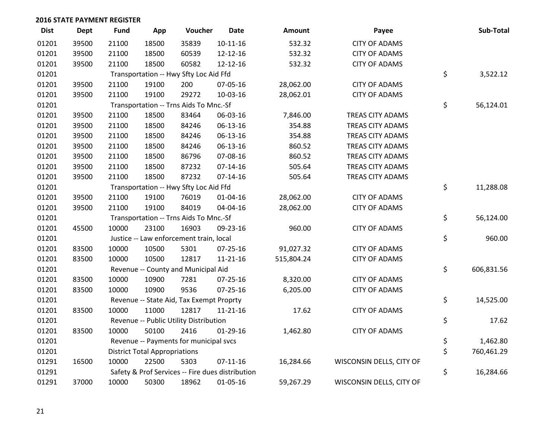| <b>Dist</b> | <b>Dept</b> | <b>Fund</b> | App                                  | Voucher                                  | <b>Date</b>                                      | Amount     | Payee                    | Sub-Total        |
|-------------|-------------|-------------|--------------------------------------|------------------------------------------|--------------------------------------------------|------------|--------------------------|------------------|
| 01201       | 39500       | 21100       | 18500                                | 35839                                    | $10 - 11 - 16$                                   | 532.32     | <b>CITY OF ADAMS</b>     |                  |
| 01201       | 39500       | 21100       | 18500                                | 60539                                    | 12-12-16                                         | 532.32     | <b>CITY OF ADAMS</b>     |                  |
| 01201       | 39500       | 21100       | 18500                                | 60582                                    | 12-12-16                                         | 532.32     | <b>CITY OF ADAMS</b>     |                  |
| 01201       |             |             |                                      | Transportation -- Hwy Sfty Loc Aid Ffd   |                                                  |            |                          | \$<br>3,522.12   |
| 01201       | 39500       | 21100       | 19100                                | 200                                      | 07-05-16                                         | 28,062.00  | <b>CITY OF ADAMS</b>     |                  |
| 01201       | 39500       | 21100       | 19100                                | 29272                                    | 10-03-16                                         | 28,062.01  | <b>CITY OF ADAMS</b>     |                  |
| 01201       |             |             |                                      | Transportation -- Trns Aids To Mnc.-Sf   |                                                  |            |                          | \$<br>56,124.01  |
| 01201       | 39500       | 21100       | 18500                                | 83464                                    | 06-03-16                                         | 7,846.00   | TREAS CITY ADAMS         |                  |
| 01201       | 39500       | 21100       | 18500                                | 84246                                    | 06-13-16                                         | 354.88     | TREAS CITY ADAMS         |                  |
| 01201       | 39500       | 21100       | 18500                                | 84246                                    | 06-13-16                                         | 354.88     | TREAS CITY ADAMS         |                  |
| 01201       | 39500       | 21100       | 18500                                | 84246                                    | 06-13-16                                         | 860.52     | <b>TREAS CITY ADAMS</b>  |                  |
| 01201       | 39500       | 21100       | 18500                                | 86796                                    | 07-08-16                                         | 860.52     | <b>TREAS CITY ADAMS</b>  |                  |
| 01201       | 39500       | 21100       | 18500                                | 87232                                    | $07 - 14 - 16$                                   | 505.64     | TREAS CITY ADAMS         |                  |
| 01201       | 39500       | 21100       | 18500                                | 87232                                    | $07 - 14 - 16$                                   | 505.64     | TREAS CITY ADAMS         |                  |
| 01201       |             |             |                                      | Transportation -- Hwy Sfty Loc Aid Ffd   |                                                  |            |                          | \$<br>11,288.08  |
| 01201       | 39500       | 21100       | 19100                                | 76019                                    | 01-04-16                                         | 28,062.00  | <b>CITY OF ADAMS</b>     |                  |
| 01201       | 39500       | 21100       | 19100                                | 84019                                    | 04-04-16                                         | 28,062.00  | <b>CITY OF ADAMS</b>     |                  |
| 01201       |             |             |                                      | Transportation -- Trns Aids To Mnc.-Sf   |                                                  |            |                          | \$<br>56,124.00  |
| 01201       | 45500       | 10000       | 23100                                | 16903                                    | 09-23-16                                         | 960.00     | <b>CITY OF ADAMS</b>     |                  |
| 01201       |             |             |                                      | Justice -- Law enforcement train, local  |                                                  |            |                          | \$<br>960.00     |
| 01201       | 83500       | 10000       | 10500                                | 5301                                     | 07-25-16                                         | 91,027.32  | <b>CITY OF ADAMS</b>     |                  |
| 01201       | 83500       | 10000       | 10500                                | 12817                                    | $11 - 21 - 16$                                   | 515,804.24 | <b>CITY OF ADAMS</b>     |                  |
| 01201       |             |             |                                      | Revenue -- County and Municipal Aid      |                                                  |            |                          | \$<br>606,831.56 |
| 01201       | 83500       | 10000       | 10900                                | 7281                                     | $07 - 25 - 16$                                   | 8,320.00   | <b>CITY OF ADAMS</b>     |                  |
| 01201       | 83500       | 10000       | 10900                                | 9536                                     | 07-25-16                                         | 6,205.00   | <b>CITY OF ADAMS</b>     |                  |
| 01201       |             |             |                                      | Revenue -- State Aid, Tax Exempt Proprty |                                                  |            |                          | \$<br>14,525.00  |
| 01201       | 83500       | 10000       | 11000                                | 12817                                    | $11 - 21 - 16$                                   | 17.62      | <b>CITY OF ADAMS</b>     |                  |
| 01201       |             |             |                                      | Revenue -- Public Utility Distribution   |                                                  |            |                          | \$<br>17.62      |
| 01201       | 83500       | 10000       | 50100                                | 2416                                     | $01-29-16$                                       | 1,462.80   | <b>CITY OF ADAMS</b>     |                  |
| 01201       |             |             |                                      | Revenue -- Payments for municipal svcs   |                                                  |            |                          | \$<br>1,462.80   |
| 01201       |             |             | <b>District Total Appropriations</b> |                                          |                                                  |            |                          | \$<br>760,461.29 |
| 01291       | 16500       | 10000       | 22500                                | 5303                                     | $07 - 11 - 16$                                   | 16,284.66  | WISCONSIN DELLS, CITY OF |                  |
| 01291       |             |             |                                      |                                          | Safety & Prof Services -- Fire dues distribution |            |                          | \$<br>16,284.66  |
| 01291       | 37000       | 10000       | 50300                                | 18962                                    | 01-05-16                                         | 59,267.29  | WISCONSIN DELLS, CITY OF |                  |